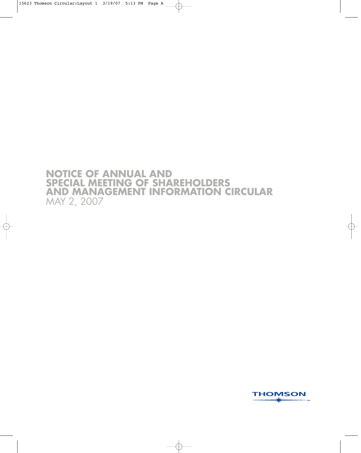# **NOTICE OF ANNUAL AND SPECIAL MEETING OF SHAREHOLDERS AND MANAGEMENT INFORMATION CIRCULAR** MAY 2, 2007

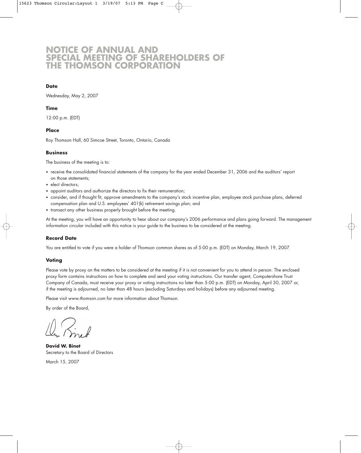# **NOTICE OF ANNUAL AND SPECIAL MEETING OF SHAREHOLDERS OF THE THOMSON CORPORATION**

### **Date**

Wednesday, May 2, 2007

# **Time**

12:00 p.m. (EDT)

### **Place**

Roy Thomson Hall, 60 Simcoe Street, Toronto, Ontario, Canada

### **Business**

The business of the meeting is to:

- receive the consolidated financial statements of the company for the year ended December 31, 2006 and the auditors' report on those statements;
- elect directors;
- appoint auditors and authorize the directors to fix their remuneration;
- consider, and if thought fit, approve amendments to the company's stock incentive plan, employee stock purchase plans, deferred compensation plan and U.S. employees' 401(k) retirement savings plan; and
- transact any other business properly brought before the meeting.

At the meeting, you will have an opportunity to hear about our company's 2006 performance and plans going forward. The management information circular included with this notice is your guide to the business to be considered at the meeting.

### **Record Date**

You are entitled to vote if you were a holder of Thomson common shares as of 5:00 p.m. (EDT) on Monday, March 19, 2007.

### **Voting**

Please vote by proxy on the matters to be considered at the meeting if it is not convenient for you to attend in person. The enclosed proxy form contains instructions on how to complete and send your voting instructions. Our transfer agent, Computershare Trust Company of Canada, must receive your proxy or voting instructions no later than 5:00 p.m. (EDT) on Monday, April 30, 2007 or, if the meeting is adjourned, no later than 48 hours (excluding Saturdays and holidays) before any adjourned meeting.

Please visit www.thomson.com for more information about Thomson.

By order of the Board,

**David W. Binet** Secretary to the Board of Directors

March 15, 2007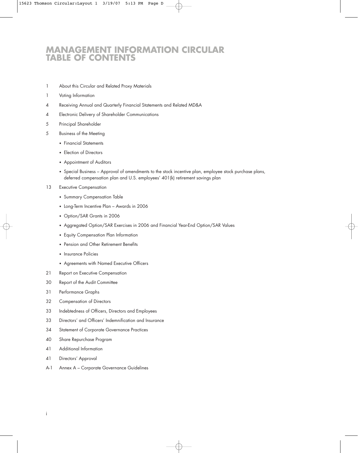# **MANAGEMENT INFORMATION CIRCULAR TABLE OF CONTENTS**

- 1 About this Circular and Related Proxy Materials
- 1 Voting Information
- 4 Receiving Annual and Quarterly Financial Statements and Related MD&A
- 4 Electronic Delivery of Shareholder Communications
- 5 Principal Shareholder
- 5 Business of the Meeting
	- Financial Statements
	- Election of Directors
	- Appointment of Auditors
	- Special Business Approval of amendments to the stock incentive plan, employee stock purchase plans, deferred compensation plan and U.S. employees' 401(k) retirement savings plan
- 13 Executive Compensation
	- Summary Compensation Table
	- Long-Term Incentive Plan Awards in 2006
	- Option/SAR Grants in 2006
	- Aggregated Option/SAR Exercises in 2006 and Financial Year-End Option/SAR Values
	- Equity Compensation Plan Information
	- Pension and Other Retirement Benefits
	- Insurance Policies
	- Agreements with Named Executive Officers
- 21 Report on Executive Compensation
- 30 Report of the Audit Committee
- 31 Performance Graphs
- 32 Compensation of Directors
- 33 Indebtedness of Officers, Directors and Employees
- 33 Directors' and Officers' Indemnification and Insurance
- 34 Statement of Corporate Governance Practices
- 40 Share Repurchase Program
- 41 Additional Information
- 41 Directors' Approval
- A-1 Annex A Corporate Governance Guidelines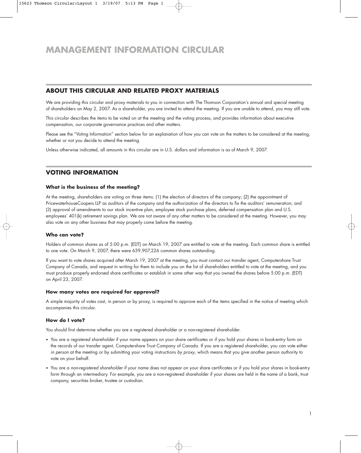# **ABOUT THIS CIRCULAR AND RELATED PROXY MATERIALS**

We are providing this circular and proxy materials to you in connection with The Thomson Corporation's annual and special meeting of shareholders on May 2, 2007. As a shareholder, you are invited to attend the meeting. If you are unable to attend, you may still vote.

This circular describes the items to be voted on at the meeting and the voting process, and provides information about executive compensation, our corporate governance practices and other matters.

Please see the "Voting Information" section below for an explanation of how you can vote on the matters to be considered at the meeting, whether or not you decide to attend the meeting.

Unless otherwise indicated, all amounts in this circular are in U.S. dollars and information is as of March 9, 2007.

# **VOTING INFORMATION**

### **What is the business of the meeting?**

At the meeting, shareholders are voting on three items: (1) the election of directors of the company; (2) the appointment of PricewaterhouseCoopers LLP as auditors of the company and the authorization of the directors to fix the auditors' remuneration; and (3) approval of amendments to our stock incentive plan, employee stock purchase plans, deferred compensation plan and U.S. employees' 401(k) retirement savings plan. We are not aware of any other matters to be considered at the meeting. However, you may also vote on any other business that may properly come before the meeting.

# **Who can vote?**

Holders of common shares as of 5:00 p.m. (EDT) on March 19, 2007 are entitled to vote at the meeting. Each common share is entitled to one vote. On March 9, 2007, there were 639,907,226 common shares outstanding.

If you want to vote shares acquired after March 19, 2007 at the meeting, you must contact our transfer agent, Computershare Trust Company of Canada, and request in writing for them to include you on the list of shareholders entitled to vote at the meeting, and you must produce properly endorsed share certificates or establish in some other way that you owned the shares before 5:00 p.m. (EDT) on April 23, 2007.

### **How many votes are required for approval?**

A simple majority of votes cast, in person or by proxy, is required to approve each of the items specified in the notice of meeting which accompanies this circular.

### **How do I vote?**

You should first determine whether you are a registered shareholder or a non-registered shareholder.

- You are a registered shareholder if your name appears on your share certificates or if you hold your shares in book-entry form on the records of our transfer agent, Computershare Trust Company of Canada. If you are a registered shareholder, you can vote either in person at the meeting or by submitting your voting instructions by proxy, which means that you give another person authority to vote on your behalf.
- You are a non-registered shareholder if your name does not appear on your share certificates or if you hold your shares in book-entry form through an intermediary. For example, you are a non-registered shareholder if your shares are held in the name of a bank, trust company, securities broker, trustee or custodian.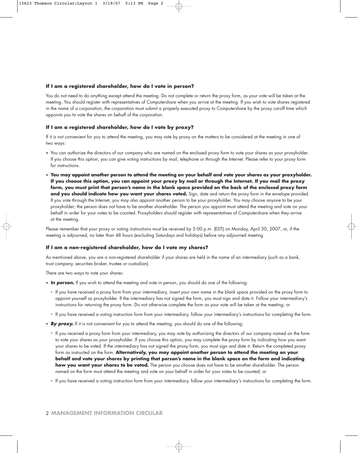### **If I am a registered shareholder, how do I vote in person?**

You do not need to do anything except attend the meeting. Do not complete or return the proxy form, as your vote will be taken at the meeting. You should register with representatives of Computershare when you arrive at the meeting. If you wish to vote shares registered in the name of a corporation, the corporation must submit a properly executed proxy to Computershare by the proxy cut-off time which appoints you to vote the shares on behalf of the corporation.

### **If I am a registered shareholder, how do I vote by proxy?**

If it is not convenient for you to attend the meeting, you may vote by proxy on the matters to be considered at the meeting in one of two ways:

- You can authorize the directors of our company who are named on the enclosed proxy form to vote your shares as your proxyholder. If you choose this option, you can give voting instructions by mail, telephone or through the Internet. Please refer to your proxy form for instructions.
- **You may appoint another person to attend the meeting on your behalf and vote your shares as your proxyholder. If you choose this option, you can appoint your proxy by mail or through the Internet. If you mail the proxy form, you must print that person's name in the blank space provided on the back of the enclosed proxy form and you should indicate how you want your shares voted.** Sign, date and return the proxy form in the envelope provided. If you vote through the Internet, you may also appoint another person to be your proxyholder. You may choose anyone to be your proxyholder; the person does not have to be another shareholder. The person you appoint must attend the meeting and vote on your behalf in order for your votes to be counted. Proxyholders should register with representatives of Computershare when they arrive at the meeting.

Please remember that your proxy or voting instructions must be received by 5:00 p.m. (EDT) on Monday, April 30, 2007, or, if the meeting is adjourned, no later than 48 hours (excluding Saturdays and holidays) before any adjourned meeting.

### **If I am a non-registered shareholder, how do I vote my shares?**

As mentioned above, you are a non-registered shareholder if your shares are held in the name of an intermediary (such as a bank, trust company, securities broker, trustee or custodian).

There are two ways to vote your shares:

- **In person.** If you wish to attend the meeting and vote in person, you should do one of the following:
	- ° If you have received a proxy form from your intermediary, insert your own name in the blank space provided on the proxy form to appoint yourself as proxyholder. If the intermediary has not signed the form, you must sign and date it. Follow your intermediary's instructions for returning the proxy form. Do not otherwise complete the form as your vote will be taken at the meeting; or
	- ° If you have received a voting instruction form from your intermediary, follow your intermediary's instructions for completing the form.
- **By proxy.** If it is not convenient for you to attend the meeting, you should do one of the following:
	- ° If you received a proxy form from your intermediary, you may vote by authorizing the directors of our company named on the form to vote your shares as your proxyholder. If you choose this option, you may complete the proxy form by indicating how you want your shares to be voted. If the intermediary has not signed the proxy form, you must sign and date it. Return the completed proxy form as instructed on the form. **Alternatively, you may appoint another person to attend the meeting on your behalf and vote your shares by printing that person's name in the blank space on the form and indicating how you want your shares to be voted.** The person you choose does not have to be another shareholder. The person named on the form must attend the meeting and vote on your behalf in order for your votes to be counted; or
	- ° If you have received a voting instruction form from your intermediary, follow your intermediary's instructions for completing the form.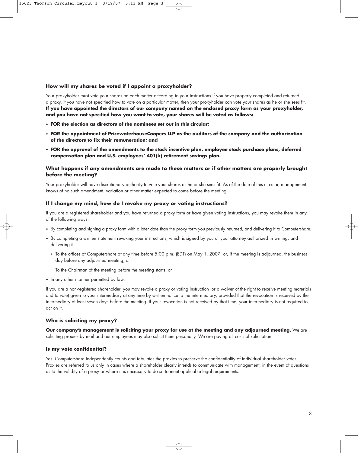### **How will my shares be voted if I appoint a proxyholder?**

Your proxyholder must vote your shares on each matter according to your instructions if you have properly completed and returned a proxy. If you have not specified how to vote on a particular matter, then your proxyholder can vote your shares as he or she sees fit. **If you have appointed the directors of our company named on the enclosed proxy form as your proxyholder, and you have not specified how you want to vote, your shares will be voted as follows:**

- **FOR the election as directors of the nominees set out in this circular;**
- **FOR the appointment of PricewaterhouseCoopers LLP as the auditors of the company and the authorization of the directors to fix their remuneration; and**
- **FOR the approval of the amendments to the stock incentive plan, employee stock purchase plans, deferred compensation plan and U.S. employees' 401(k) retirement savings plan.**

### **What happens if any amendments are made to these matters or if other matters are properly brought before the meeting?**

Your proxyholder will have discretionary authority to vote your shares as he or she sees fit. As of the date of this circular, management knows of no such amendment, variation or other matter expected to come before the meeting.

### **If I change my mind, how do I revoke my proxy or voting instructions?**

If you are a registered shareholder and you have returned a proxy form or have given voting instructions, you may revoke them in any of the following ways:

- By completing and signing a proxy form with a later date than the proxy form you previously returned, and delivering it to Computershare;
- By completing a written statement revoking your instructions, which is signed by you or your attorney authorized in writing, and delivering it:
	- ° To the offices of Computershare at any time before 5:00 p.m. (EDT) on May 1, 2007, or, if the meeting is adjourned, the business day before any adjourned meeting; or
	- ° To the Chairman of the meeting before the meeting starts; or
- In any other manner permitted by law.

If you are a non-registered shareholder, you may revoke a proxy or voting instruction (or a waiver of the right to receive meeting materials and to vote) given to your intermediary at any time by written notice to the intermediary, provided that the revocation is received by the intermediary at least seven days before the meeting. If your revocation is not received by that time, your intermediary is not required to act on it.

#### **Who is soliciting my proxy?**

**Our company's management is soliciting your proxy for use at the meeting and any adjourned meeting.** We are soliciting proxies by mail and our employees may also solicit them personally. We are paying all costs of solicitation.

#### **Is my vote confidential?**

Yes. Computershare independently counts and tabulates the proxies to preserve the confidentiality of individual shareholder votes. Proxies are referred to us only in cases where a shareholder clearly intends to communicate with management, in the event of questions as to the validity of a proxy or where it is necessary to do so to meet applicable legal requirements.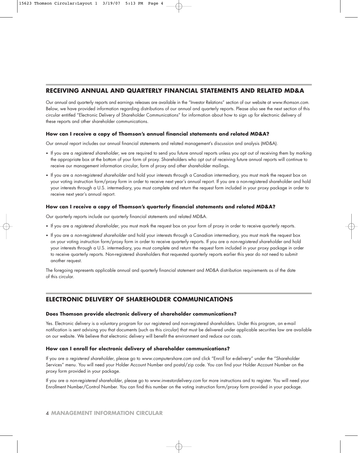# **RECEIVING ANNUAL AND QUARTERLY FINANCIAL STATEMENTS AND RELATED MD&A**

Our annual and quarterly reports and earnings releases are available in the "Investor Relations" section of our website at www.thomson.com. Below, we have provided information regarding distributions of our annual and quarterly reports. Please also see the next section of this circular entitled "Electronic Delivery of Shareholder Communications" for information about how to sign up for electronic delivery of these reports and other shareholder communications.

# **How can I receive a copy of Thomson's annual financial statements and related MD&A?**

Our annual report includes our annual financial statements and related management's discussion and analysis (MD&A).

- If you are a registered shareholder, we are required to send you future annual reports unless you opt out of receiving them by marking the appropriate box at the bottom of your form of proxy. Shareholders who opt out of receiving future annual reports will continue to receive our management information circular, form of proxy and other shareholder mailings.
- If you are a non-registered shareholder and hold your interests through a Canadian intermediary, you must mark the request box on your voting instruction form/proxy form in order to receive next year's annual report. If you are a non-registered shareholder and hold your interests through a U.S. intermediary, you must complete and return the request form included in your proxy package in order to receive next year's annual report.

# **How can I receive a copy of Thomson's quarterly financial statements and related MD&A?**

Our quarterly reports include our quarterly financial statements and related MD&A.

- If you are a registered shareholder, you must mark the request box on your form of proxy in order to receive quarterly reports.
- If you are a non-registered shareholder and hold your interests through a Canadian intermediary, you must mark the request box on your voting instruction form/proxy form in order to receive quarterly reports. If you are a non-registered shareholder and hold your interests through a U.S. intermediary, you must complete and return the request form included in your proxy package in order to receive quarterly reports. Non-registered shareholders that requested quarterly reports earlier this year do not need to submit another request.

The foregoing represents applicable annual and quarterly financial statement and MD&A distribution requirements as of the date of this circular.

# **ELECTRONIC DELIVERY OF SHAREHOLDER COMMUNICATIONS**

# **Does Thomson provide electronic delivery of shareholder communications?**

Yes. Electronic delivery is a voluntary program for our registered and non-registered shareholders. Under this program, an e-mail notification is sent advising you that documents (such as this circular) that must be delivered under applicable securities law are available on our website. We believe that electronic delivery will benefit the environment and reduce our costs.

# **How can I enroll for electronic delivery of shareholder communications?**

If you are a registered shareholder, please go to www.computershare.com and click "Enroll for e-delivery" under the "Shareholder Services" menu. You will need your Holder Account Number and postal/zip code. You can find your Holder Account Number on the proxy form provided in your package.

If you are a non-registered shareholder, please go to www.investordelivery.com for more instructions and to register. You will need your Enrollment Number/Control Number. You can find this number on the voting instruction form/proxy form provided in your package.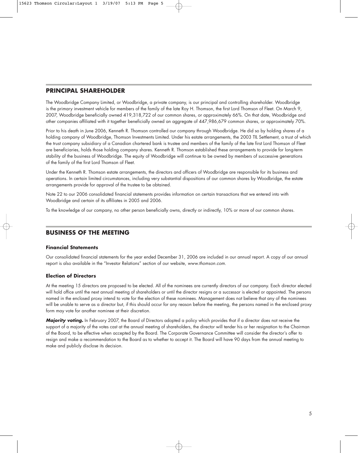# **PRINCIPAL SHAREHOLDER**

The Woodbridge Company Limited, or Woodbridge, a private company, is our principal and controlling shareholder. Woodbridge is the primary investment vehicle for members of the family of the late Roy H. Thomson, the first Lord Thomson of Fleet. On March 9, 2007, Woodbridge beneficially owned 419,318,722 of our common shares, or approximately 66%. On that date, Woodbridge and other companies affiliated with it together beneficially owned an aggregate of 447,986,679 common shares, or approximately 70%.

Prior to his death in June 2006, Kenneth R. Thomson controlled our company through Woodbridge. He did so by holding shares of a holding company of Woodbridge, Thomson Investments Limited. Under his estate arrangements, the 2003 TIL Settlement, a trust of which the trust company subsidiary of a Canadian chartered bank is trustee and members of the family of the late first Lord Thomson of Fleet are beneficiaries, holds those holding company shares. Kenneth R. Thomson established these arrangements to provide for long-term stability of the business of Woodbridge. The equity of Woodbridge will continue to be owned by members of successive generations of the family of the first Lord Thomson of Fleet.

Under the Kenneth R. Thomson estate arrangements, the directors and officers of Woodbridge are responsible for its business and operations. In certain limited circumstances, including very substantial dispositions of our common shares by Woodbridge, the estate arrangements provide for approval of the trustee to be obtained.

Note 22 to our 2006 consolidated financial statements provides information on certain transactions that we entered into with Woodbridge and certain of its affiliates in 2005 and 2006.

To the knowledge of our company, no other person beneficially owns, directly or indirectly, 10% or more of our common shares.

# **BUSINESS OF THE MEETING**

# **Financial Statements**

Our consolidated financial statements for the year ended December 31, 2006 are included in our annual report. A copy of our annual report is also available in the "Investor Relations" section of our website, www.thomson.com.

# **Election of Directors**

At the meeting 15 directors are proposed to be elected. All of the nominees are currently directors of our company. Each director elected will hold office until the next annual meeting of shareholders or until the director resigns or a successor is elected or appointed. The persons named in the enclosed proxy intend to vote for the election of these nominees. Management does not believe that any of the nominees will be unable to serve as a director but, if this should occur for any reason before the meeting, the persons named in the enclosed proxy form may vote for another nominee at their discretion.

**Majority voting.** In February 2007, the Board of Directors adopted a policy which provides that if a director does not receive the support of a majority of the votes cast at the annual meeting of shareholders, the director will tender his or her resignation to the Chairman of the Board, to be effective when accepted by the Board. The Corporate Governance Committee will consider the director's offer to resign and make a recommendation to the Board as to whether to accept it. The Board will have 90 days from the annual meeting to make and publicly disclose its decision.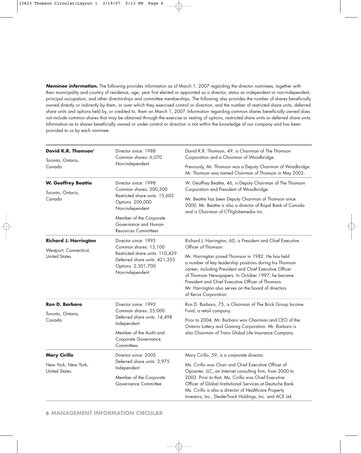**Nominee information.** The following provides information as of March 1, 2007 regarding the director nominees, together with their municipality and country of residence, age, year first elected or appointed as a director, status as independent or non-independent, principal occupation, and other directorships and committee memberships. The following also provides the number of shares beneficially owned directly or indirectly by them, or over which they exercised control or direction, and the number of restricted share units, deferred share units and options held by, or credited to, them on March 1, 2007. Information regarding common shares beneficially owned does not include common shares that may be obtained through the exercise or vesting of options, restricted share units or deferred share units. Information as to shares beneficially owned or under control or direction is not within the knowledge of our company and has been provided to us by each nominee.

| David K.R. Thomson <sup>1</sup>                        | Director since: 1988<br>Common shares: 6,070                                                              | David K.R. Thomson, 49, is Chairman of The Thomson<br>Corporation and a Chairman of Woodbridge.                                                                                                                                                                                                                                                                     |  |
|--------------------------------------------------------|-----------------------------------------------------------------------------------------------------------|---------------------------------------------------------------------------------------------------------------------------------------------------------------------------------------------------------------------------------------------------------------------------------------------------------------------------------------------------------------------|--|
| Toronto, Ontario,<br>Canada                            | Non-independent                                                                                           | Previously, Mr. Thomson was a Deputy Chairman of Woodbridge.<br>Mr. Thomson was named Chairman of Thomson in May 2002.                                                                                                                                                                                                                                              |  |
| <b>W. Geoffrey Beattie</b><br>Toronto, Ontario,        | Director since: 1998<br>Common shares: 200,500                                                            | W. Geoffrey Beattie, 46, is Deputy Chairman of The Thomson<br>Corporation and President of Woodbridge.                                                                                                                                                                                                                                                              |  |
| Canada                                                 | Restricted share units: 15,603<br>Options: 200,000<br>Non-independent                                     | Mr. Beattie has been Deputy Chairman of Thomson since<br>2000. Mr. Beattie is also a director of Royal Bank of Canada<br>and is Chairman of CTVglobemedia Inc.                                                                                                                                                                                                      |  |
|                                                        | Member of the Corporate<br>Governance and Human<br><b>Resources Committees</b>                            |                                                                                                                                                                                                                                                                                                                                                                     |  |
| <b>Richard J. Harrington</b><br>Westport, Connecticut, | Director since: 1993<br>Common shares: 15,100                                                             | Richard J. Harrington, 60, is President and Chief Executive<br>Officer of Thomson.                                                                                                                                                                                                                                                                                  |  |
| <b>United States</b>                                   | Restricted share units: 110,429<br>Deferred share units: 421,355<br>Options: 2,501,700<br>Non-independent | Mr. Harrington joined Thomson in 1982. He has held<br>a number of key leadership positions during his Thomson<br>career, including President and Chief Executive Officer<br>of Thomson Newspapers. In October 1997, he became<br>President and Chief Executive Officer of Thomson.<br>Mr. Harrington also serves on the board of directors<br>of Xerox Corporation. |  |
| Ron D. Barbaro                                         | Director since: 1993<br>Common shares: 25,000                                                             | Ron D. Barbaro, 75, is Chairman of The Brick Group Income<br>Fund, a retail company.                                                                                                                                                                                                                                                                                |  |
| Toronto, Ontario,<br>Canada                            | Deferred share units: 14,498<br>Independent                                                               | Prior to 2004, Mr. Barbaro was Chairman and CEO of the<br>Ontario Lottery and Gaming Corporation. Mr. Barbaro is                                                                                                                                                                                                                                                    |  |
|                                                        | Member of the Audit and<br>Corporate Governance<br>Committees                                             | also Chairman of Trans Global Life Insurance Company.                                                                                                                                                                                                                                                                                                               |  |
| <b>Mary Cirillo</b>                                    | Director since: 2005                                                                                      | Mary Cirillo, 59, is a corporate director.                                                                                                                                                                                                                                                                                                                          |  |
| New York, New York,<br><b>United States</b>            | Deferred share units: 3,975<br>Independent                                                                | Ms. Cirillo was Chair and Chief Executive Officer of<br>Opcenter, LLC, an Internet consulting firm, from 2000 to                                                                                                                                                                                                                                                    |  |
|                                                        | Member of the Corporate<br>Governance Committee                                                           | 2003. Prior to that, Ms. Cirillo was Chief Executive<br>Officer of Global Institutional Services at Deutsche Bank.<br>Ms. Cirillo is also a director of Healthcare Property<br>Investors, Inc., DealerTrack Holdings, Inc. and ACE Ltd.                                                                                                                             |  |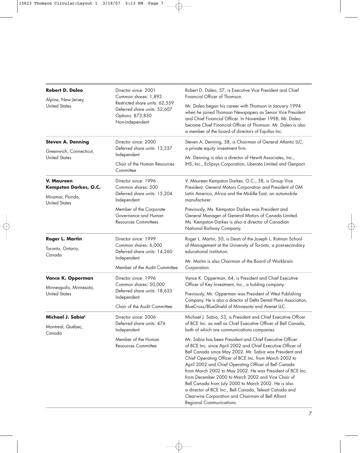| <b>Robert D. Daleo</b>                                                                         | Director since: 2001<br>Common shares: 1,893                                                          | Robert D. Daleo, 57, is Executive Vice President and Chief<br>Financial Officer of Thomson.                                                                                                                                                                                                                                                                                                                                                                                                                                                                                                                                   |  |  |
|------------------------------------------------------------------------------------------------|-------------------------------------------------------------------------------------------------------|-------------------------------------------------------------------------------------------------------------------------------------------------------------------------------------------------------------------------------------------------------------------------------------------------------------------------------------------------------------------------------------------------------------------------------------------------------------------------------------------------------------------------------------------------------------------------------------------------------------------------------|--|--|
| Alpine, New Jersey,<br><b>United States</b>                                                    | Restricted share units: 62,559<br>Deferred share units: 52,607<br>Options: 873,830<br>Non-independent | Mr. Daleo began his career with Thomson in January 1994<br>when he joined Thomson Newspapers as Senior Vice President<br>and Chief Financial Officer. In November 1998, Mr. Daleo<br>became Chief Financial Officer of Thomson. Mr. Daleo is also<br>a member of the board of directors of Equifax Inc.                                                                                                                                                                                                                                                                                                                       |  |  |
| <b>Steven A. Denning</b><br>Greenwich, Connecticut,                                            | Director since: 2000<br>Deferred share units: 13,337<br>Independent                                   | Steven A. Denning, 58, is Chairman of General Atlantic LLC,<br>a private equity investment firm.                                                                                                                                                                                                                                                                                                                                                                                                                                                                                                                              |  |  |
| <b>United States</b>                                                                           | Chair of the Human Resources<br>Committee                                                             | Mr. Denning is also a director of Hewitt Associates, Inc.,<br>IHS, Inc., Eclipsys Corporation, Liberata Limited and Genpact.                                                                                                                                                                                                                                                                                                                                                                                                                                                                                                  |  |  |
| <b>V. Maureen</b><br><b>Kempston Darkes, O.C.</b><br>Miramar, Florida,<br><b>United States</b> | Director since: 1996<br>Common shares: 500<br>Deferred share units: 15,204<br>Independent             | V. Maureen Kempston Darkes, O.C., 58, is Group Vice<br>President, General Motors Corporation and President of GM<br>Latin America, Africa and the Middle East, an automobile<br>manufacturer.                                                                                                                                                                                                                                                                                                                                                                                                                                 |  |  |
|                                                                                                | Member of the Corporate<br>Governance and Human<br><b>Resources Committees</b>                        | Previously, Ms. Kempston Darkes was President and<br>General Manager of General Motors of Canada Limited.<br>Ms. Kempston Darkes is also a director of Canadian<br>National Railway Company.                                                                                                                                                                                                                                                                                                                                                                                                                                  |  |  |
| <b>Roger L. Martin</b><br>Toronto, Ontario,<br>Canada                                          | Director since: 1999<br>Common shares: 6,000<br>Deferred share units: 14,260                          | Roger L. Martin, 50, is Dean of the Joseph L. Rotman School<br>of Management at the University of Toronto, a post-secondary<br>educational institution.                                                                                                                                                                                                                                                                                                                                                                                                                                                                       |  |  |
|                                                                                                | Independent<br>Member of the Audit Committee                                                          | Mr. Martin is also Chairman of the Board of Workbrain<br>Corporation.                                                                                                                                                                                                                                                                                                                                                                                                                                                                                                                                                         |  |  |
| Vance K. Opperman                                                                              | Director since: 1996<br>Common shares: 50,000                                                         | Vance K. Opperman, 64, is President and Chief Executive<br>Officer of Key Investment, Inc., a holding company.                                                                                                                                                                                                                                                                                                                                                                                                                                                                                                                |  |  |
| Minneapolis, Minnesota,<br><b>United States</b>                                                | Deferred share units: 18,633<br>Independent<br>Chair of the Audit Committee                           | Previously, Mr. Opperman was President of West Publishing<br>Company. He is also a director of Delta Dental Plans Association,<br>BlueCross/BlueShield of Minnesota and Avenet LLC.                                                                                                                                                                                                                                                                                                                                                                                                                                           |  |  |
| Michael J. Sabia <sup>2</sup><br>Montreal, Québec,<br>Canada                                   | Director since: 2006<br>Deferred share units: 476<br>Independent                                      | Michael J. Sabia, 53, is President and Chief Executive Officer<br>of BCE Inc. as well as Chief Executive Officer of Bell Canada,<br>both of which are communications companies.                                                                                                                                                                                                                                                                                                                                                                                                                                               |  |  |
|                                                                                                | Member of the Human<br><b>Resources Committee</b>                                                     | Mr. Sabia has been President and Chief Executive Officer<br>of BCE Inc. since April 2002 and Chief Executive Officer of<br>Bell Canada since May 2002. Mr. Sabia was President and<br>Chief Operating Officer of BCE Inc. from March 2002 to<br>April 2002 and Chief Operating Officer of Bell Canada<br>from March 2002 to May 2002. He was President of BCE Inc.<br>from December 2000 to March 2002 and Vice Chair of<br>Bell Canada from July 2000 to March 2002. He is also<br>a director of BCE Inc., Bell Canada, Telesat Canada and<br>Clearwire Corporation and Chairman of Bell Alliant<br>Regional Communications. |  |  |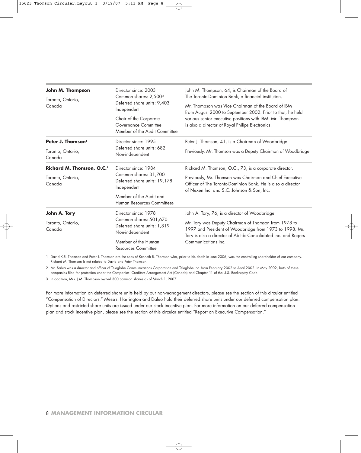| John M. Thompson<br>Toronto, Ontario, | Director since: 2003<br>Common shares: 2,500 <sup>3</sup>                       | John M. Thompson, 64, is Chairman of the Board of<br>The Toronto-Dominion Bank, a financial institution.                                                                           |  |  |  |
|---------------------------------------|---------------------------------------------------------------------------------|------------------------------------------------------------------------------------------------------------------------------------------------------------------------------------|--|--|--|
| Canada                                | Deferred share units: 9,403<br>Independent                                      | Mr. Thompson was Vice Chairman of the Board of IBM<br>from August 2000 to September 2002. Prior to that, he held                                                                   |  |  |  |
|                                       | Chair of the Corporate<br>Governance Committee<br>Member of the Audit Committee | various senior executive positions with IBM. Mr. Thompson<br>is also a director of Royal Philips Electronics.                                                                      |  |  |  |
| Peter J. Thomson <sup>1</sup>         | Director since: 1995                                                            | Peter J. Thomson, 41, is a Chairman of Woodbridge.                                                                                                                                 |  |  |  |
| Toronto, Ontario,<br>Canada           | Deferred share units: 682<br>Non-independent                                    | Previously, Mr. Thomson was a Deputy Chairman of Woodbridge.                                                                                                                       |  |  |  |
| Richard M. Thomson, O.C. <sup>1</sup> | Director since: 1984                                                            | Richard M. Thomson, O.C., 73, is a corporate director.                                                                                                                             |  |  |  |
| Toronto, Ontario,<br>Canada           | Common shares: 31,700<br>Deferred share units: 19,178<br>Independent            | Previously, Mr. Thomson was Chairman and Chief Executive<br>Officer of The Toronto-Dominion Bank. He is also a director<br>of Nexen Inc. and S.C. Johnson & Son, Inc.              |  |  |  |
|                                       | Member of the Audit and<br>Human Resources Committees                           |                                                                                                                                                                                    |  |  |  |
| John A. Tory                          | Director since: 1978                                                            | John A. Tory, 76, is a director of Woodbridge.                                                                                                                                     |  |  |  |
| Toronto, Ontario,<br>Canada           | Common shares: 501,670<br>Deferred share units: 1,819<br>Non-independent        | Mr. Tory was Deputy Chairman of Thomson from 1978 to<br>1997 and President of Woodbridge from 1973 to 1998. Mr.<br>Tory is also a director of Abitibi-Consolidated Inc. and Rogers |  |  |  |
|                                       | Member of the Human<br><b>Resources Committee</b>                               | Communications Inc.                                                                                                                                                                |  |  |  |

1 David K.R. Thomson and Peter J. Thomson are the sons of Kenneth R. Thomson who, prior to his death in June 2006, was the controlling shareholder of our company. Richard M. Thomson is not related to David and Peter Thomson.

2 Mr. Sabia was a director and officer of Teleglobe Communications Corporation and Teleglobe Inc. from February 2002 to April 2002. In May 2002, both of these companies filed for protection under the Companies' Creditors Arrangement Act (Canada) and Chapter 11 of the U.S. Bankruptcy Code.

3 In addition, Mrs. J.M. Thompson owned 300 common shares as of March 1, 2007.

For more information on deferred share units held by our non-management directors, please see the section of this circular entitled "Compensation of Directors." Messrs. Harrington and Daleo hold their deferred share units under our deferred compensation plan. Options and restricted share units are issued under our stock incentive plan. For more information on our deferred compensation plan and stock incentive plan, please see the section of this circular entitled "Report on Executive Compensation."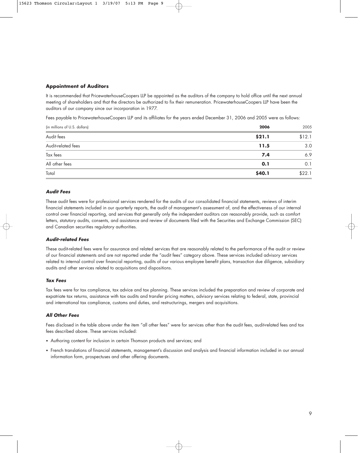# **Appointment of Auditors**

It is recommended that PricewaterhouseCoopers LLP be appointed as the auditors of the company to hold office until the next annual meeting of shareholders and that the directors be authorized to fix their remuneration. PricewaterhouseCoopers LLP have been the auditors of our company since our incorporation in 1977.

Fees payable to PricewaterhouseCoopers LLP and its affiliates for the years ended December 31, 2006 and 2005 were as follows:

| (in millions of U.S. dollars) | 2006   | 2005   |
|-------------------------------|--------|--------|
| Audit fees                    | \$21.1 | \$12.1 |
| Audit-related fees            | 11.5   | 3.0    |
| Tax fees                      | 7.4    | 6.9    |
| All other fees                | 0.1    | 0.1    |
| Total                         | \$40.1 | \$22.1 |

# **Audit Fees**

These audit fees were for professional services rendered for the audits of our consolidated financial statements, reviews of interim financial statements included in our quarterly reports, the audit of management's assessment of, and the effectiveness of our internal control over financial reporting, and services that generally only the independent auditors can reasonably provide, such as comfort letters, statutory audits, consents, and assistance and review of documents filed with the Securities and Exchange Commission (SEC) and Canadian securities regulatory authorities.

# **Audit-related Fees**

These audit-related fees were for assurance and related services that are reasonably related to the performance of the audit or review of our financial statements and are not reported under the "audit fees" category above. These services included advisory services related to internal control over financial reporting, audits of our various employee benefit plans, transaction due diligence, subsidiary audits and other services related to acquisitions and dispositions.

### **Tax Fees**

Tax fees were for tax compliance, tax advice and tax planning. These services included the preparation and review of corporate and expatriate tax returns, assistance with tax audits and transfer pricing matters, advisory services relating to federal, state, provincial and international tax compliance, customs and duties, and restructurings, mergers and acquisitions.

### **All Other Fees**

Fees disclosed in the table above under the item "all other fees" were for services other than the audit fees, audit-related fees and tax fees described above. These services included:

- Authoring content for inclusion in certain Thomson products and services; and
- French translations of financial statements, management's discussion and analysis and financial information included in our annual information form, prospectuses and other offering documents.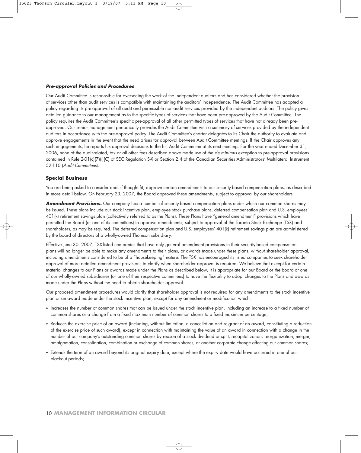#### **Pre-approval Policies and Procedures**

Our Audit Committee is responsible for overseeing the work of the independent auditors and has considered whether the provision of services other than audit services is compatible with maintaining the auditors' independence. The Audit Committee has adopted a policy regarding its pre-approval of all audit and permissible non-audit services provided by the independent auditors. The policy gives detailed guidance to our management as to the specific types of services that have been pre-approved by the Audit Committee. The policy requires the Audit Committee's specific pre-approval of all other permitted types of services that have not already been preapproved. Our senior management periodically provides the Audit Committee with a summary of services provided by the independent auditors in accordance with the pre-approval policy. The Audit Committee's charter delegates to its Chair the authority to evaluate and approve engagements in the event that the need arises for approval between Audit Committee meetings. If the Chair approves any such engagements, he reports his approval decisions to the full Audit Committee at its next meeting. For the year ended December 31, 2006, none of the audit-related, tax or all other fees described above made use of the de minimus exception to pre-approval provisions contained in Rule 2-01(c)(7)(i)(C) of SEC Regulation S-X or Section 2.4 of the Canadian Securities Administrators' Multilateral Instrument 52-110 (Audit Committees).

# **Special Business**

You are being asked to consider and, if thought fit, approve certain amendments to our security-based compensation plans, as described in more detail below. On February 23, 2007, the Board approved these amendments, subject to approval by our shareholders.

**Amendment Provisions.** Our company has a number of security-based compensation plans under which our common shares may be issued. These plans include our stock incentive plan, employee stock purchase plans, deferred compensation plan and U.S. employees' 401(k) retirement savings plan (collectively referred to as the Plans). These Plans have "general amendment" provisions which have permitted the Board (or one of its committees) to approve amendments, subject to approval of the Toronto Stock Exchange (TSX) and shareholders, as may be required. The deferred compensation plan and U.S. employees' 401(k) retirement savings plan are administered by the board of directors of a wholly-owned Thomson subsidiary.

Effective June 30, 2007, TSX-listed companies that have only general amendment provisions in their security-based compensation plans will no longer be able to make any amendments to their plans, or awards made under these plans, without shareholder approval, including amendments considered to be of a "housekeeping" nature. The TSX has encouraged its listed companies to seek shareholder approval of more detailed amendment provisions to clarify when shareholder approval is required. We believe that except for certain material changes to our Plans or awards made under the Plans as described below, it is appropriate for our Board or the board of one of our wholly-owned subsidiaries (or one of their respective committees) to have the flexibility to adopt changes to the Plans and awards made under the Plans without the need to obtain shareholder approval.

Our proposed amendment procedures would clarify that shareholder approval is not required for any amendments to the stock incentive plan or an award made under the stock incentive plan, except for any amendment or modification which:

- Increases the number of common shares that can be issued under the stock incentive plan, including an increase to a fixed number of common shares or a change from a fixed maximum number of common shares to a fixed maximum percentage;
- Reduces the exercise price of an award (including, without limitation, a cancellation and re-grant of an award, constituting a reduction of the exercise price of such award), except in connection with maintaining the value of an award in connection with a change in the number of our company's outstanding common shares by reason of a stock dividend or split, recapitalization, reorganization, merger, amalgamation, consolidation, combination or exchange of common shares, or another corporate change affecting our common shares;
- Extends the term of an award beyond its original expiry date, except where the expiry date would have occurred in one of our blackout periods;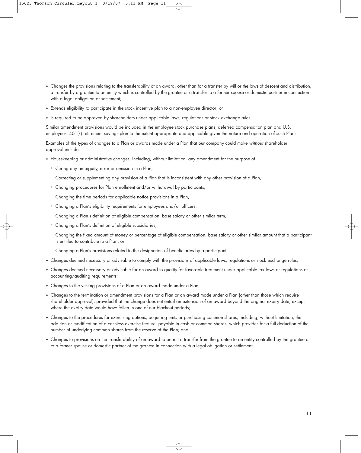- Changes the provisions relating to the transferability of an award, other than for a transfer by will or the laws of descent and distribution, a transfer by a grantee to an entity which is controlled by the grantee or a transfer to a former spouse or domestic partner in connection with a legal obligation or settlement;
- Extends eligibility to participate in the stock incentive plan to a non-employee director; or
- Is required to be approved by shareholders under applicable laws, regulations or stock exchange rules.

Similar amendment provisions would be included in the employee stock purchase plans, deferred compensation plan and U.S. employees' 401(k) retirement savings plan to the extent appropriate and applicable given the nature and operation of such Plans.

Examples of the types of changes to a Plan or awards made under a Plan that our company could make without shareholder approval include:

- Housekeeping or administrative changes, including, without limitation, any amendment for the purpose of:
	- ° Curing any ambiguity, error or omission in a Plan,
	- ° Correcting or supplementing any provision of a Plan that is inconsistent with any other provision of a Plan,
	- ° Changing procedures for Plan enrollment and/or withdrawal by participants,
	- ° Changing the time periods for applicable notice provisions in a Plan,
	- ° Changing a Plan's eligibility requirements for employees and/or officers,
	- ° Changing a Plan's definition of eligible compensation, base salary or other similar term,
	- ° Changing a Plan's definition of eligible subsidiaries,
	- ° Changing the fixed amount of money or percentage of eligible compensation, base salary or other similar amount that a participant is entitled to contribute to a Plan, or
	- ° Changing a Plan's provisions related to the designation of beneficiaries by a participant;
- Changes deemed necessary or advisable to comply with the provisions of applicable laws, regulations or stock exchange rules;
- Changes deemed necessary or advisable for an award to quality for favorable treatment under applicable tax laws or regulations or accounting/auditing requirements;
- Changes to the vesting provisions of a Plan or an award made under a Plan;
- Changes to the termination or amendment provisions for a Plan or an award made under a Plan (other than those which require shareholder approval), provided that the change does not entail an extension of an award beyond the original expiry date, except where the expiry date would have fallen in one of our blackout periods;
- Changes to the procedures for exercising options, acquiring units or purchasing common shares, including, without limitation, the addition or modification of a cashless exercise feature, payable in cash or common shares, which provides for a full deduction of the number of underlying common shares from the reserve of the Plan; and
- Changes to provisions on the transferability of an award to permit a transfer from the grantee to an entity controlled by the grantee or to a former spouse or domestic partner of the grantee in connection with a legal obligation or settlement.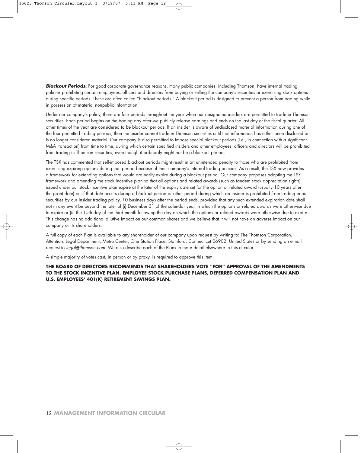**Blackout Periods.** For good corporate governance reasons, many public companies, including Thomson, have internal trading policies prohibiting certain employees, officers and directors from buying or selling the company's securities or exercising stock options during specific periods. These are often called "blackout periods." A blackout period is designed to prevent a person from trading while in possession of material nonpublic information.

Under our company's policy, there are four periods throughout the year when our designated insiders are permitted to trade in Thomson securities. Each period begins on the trading day after we publicly release earnings and ends on the last day of the fiscal quarter. All other times of the year are considered to be blackout periods. If an insider is aware of undisclosed material information during one of the four permitted trading periods, then the insider cannot trade in Thomson securities until that information has either been disclosed or is no longer considered material. Our company is also permitted to impose special blackout periods (i.e., in connection with a significant M&A transaction) from time to time, during which certain specified insiders and other employees, officers and directors will be prohibited from trading in Thomson securities, even though it ordinarily might not be a blackout period.

The TSX has commented that self-imposed blackout periods might result in an unintended penalty to those who are prohibited from exercising expiring options during that period because of their company's internal trading policies. As a result, the TSX now provides a framework for extending options that would ordinarily expire during a blackout period. Our company proposes adopting the TSX framework and amending the stock incentive plan so that all options and related awards (such as tandem stock appreciation rights) issued under our stock incentive plan expire at the later of the expiry date set for the option or related award (usually 10 years after the grant date) or, if that date occurs during a blackout period or other period during which an insider is prohibited from trading in our securities by our insider trading policy, 10 business days after the period ends, provided that any such extended expiration date shall not in any event be beyond the later of (i) December 31 of the calendar year in which the options or related awards were otherwise due to expire or (ii) the 15th day of the third month following the day on which the options or related awards were otherwise due to expire. This change has no additional dilutive impact on our common shares and we believe that it will not have an adverse impact on our company or its shareholders.

A full copy of each Plan is available to any shareholder of our company upon request by writing to: The Thomson Corporation, Attention: Legal Department, Metro Center, One Station Place, Stamford, Connecticut 06902, United States or by sending an e-mail request to legal@thomson.com. We also describe each of the Plans in more detail elsewhere in this circular.

A simple majority of votes cast, in person or by proxy, is required to approve this item.

**THE BOARD OF DIRECTORS RECOMMENDS THAT SHAREHOLDERS VOTE "FOR" APPROVAL OF THE AMENDMENTS TO THE STOCK INCENTIVE PLAN, EMPLOYEE STOCK PURCHASE PLANS, DEFERRED COMPENSATION PLAN AND U.S. EMPLOYEES' 401(K) RETIREMENT SAVINGS PLAN.**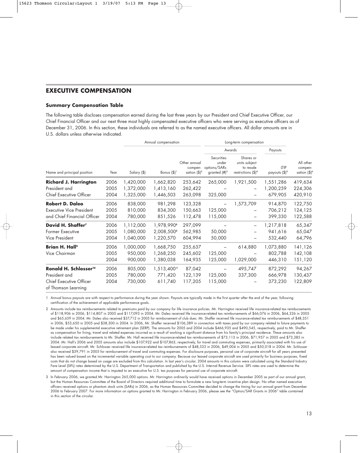# **EXECUTIVE COMPENSATION**

# **Summary Compensation Table**

The following table discloses compensation earned during the last three years by our President and Chief Executive Officer, our Chief Financial Officer and our next three most highly compensated executive officers who were serving as executive officers as of December 31, 2006. In this section, these individuals are referred to as the named executive officers. All dollar amounts are in U.S. dollars unless otherwise indicated.

|                                                |      | Annual compensation |                        |                                                    | Long-term compensation                                 |                                                                           |                          |                                         |
|------------------------------------------------|------|---------------------|------------------------|----------------------------------------------------|--------------------------------------------------------|---------------------------------------------------------------------------|--------------------------|-----------------------------------------|
|                                                |      |                     |                        |                                                    |                                                        | Awards                                                                    | Payouts                  | All other<br>compen-<br>sation $(\$)^6$ |
| Name and principal position                    | Year | Salary (\$)         | Bonus $(\$)^1$         | Other annual<br>compen-<br>sation $(\frac{4}{3})2$ | Securities<br>under<br>options/SARs<br>granted $(H)^3$ | Shares or<br>units subject<br>to resale<br>restrictions $(\frac{4}{3})^4$ | LTIP<br>payouts $(\$)^5$ |                                         |
| <b>Richard J. Harrington</b>                   | 2006 | 1,420,000           | 1,662,820              | 253,642                                            | 265,000                                                | 1,921,500                                                                 | 1,551,286                | 419,634                                 |
| President and                                  | 2005 | 1,372,000           | 1,413,160              | 262,422                                            |                                                        |                                                                           | 1,200,259                | 224,306                                 |
| Chief Executive Officer                        | 2004 | 1,325,000           | 1,446,503              | 263,098                                            | 325,000                                                |                                                                           | 679,905                  | 420,910                                 |
| <b>Robert D. Daleo</b>                         | 2006 | 838,000             | 981,298                | 123,328                                            | $\overline{\phantom{0}}$                               | 1,573,709                                                                 | 914,870                  | 122,750                                 |
| <b>Executive Vice President</b>                | 2005 | 810,000             | 834,300                | 150,663                                            | 125,000                                                |                                                                           | 706,212                  | 124,125                                 |
| and Chief Financial Officer                    | 2004 | 780,000             | 851,526                | 112,478                                            | 115,000                                                |                                                                           | 399,330                  | 122,588                                 |
| David H. Shaffer <sup>7</sup>                  | 2006 | 1,112,000           | 1,978,990 <sup>8</sup> | 297,099                                            |                                                        | $\overline{\phantom{0}}$                                                  | 1,217,818                | 65,347                                  |
| Former Executive                               | 2005 | 1,080,000           | 2,008,500 <sup>8</sup> | 562,985                                            | 50,000                                                 |                                                                           | 941,616                  | 65,047                                  |
| Vice President                                 | 2004 | 1,040,000           | 1,220,570              | 604,994                                            | 50,000                                                 |                                                                           | 532,440                  | 64,796                                  |
| <b>Brian H. Hall<sup>9</sup></b>               | 2006 | 1,000,000           | 1,668,750              | 255,637                                            |                                                        | 614,880                                                                   | 1,073,880                | 141,126                                 |
| Vice Chairman                                  | 2005 | 950,000             | 1,268,250              | 245,602                                            | 125,000                                                |                                                                           | 802,788                  | 142,108                                 |
|                                                | 2004 | 900,000             | 1,380,038              | 164,935                                            | 125,000                                                | 1,029,000                                                                 | 446,310                  | 151,120                                 |
| Ronald H. Schlosser <sup>10</sup>              | 2006 | 805,000             | 1,513,400"             | 87,042                                             |                                                        | 495,747                                                                   | 872,292                  | 94,267                                  |
| President and                                  | 2005 | 780,000             | 771,420                | 122,139                                            | 125,000                                                | 337,300                                                                   | 666,978                  | 130,437                                 |
| Chief Executive Officer<br>of Thomson Learning | 2004 | 730,000             | 611,740                | 117,205                                            | 115,000                                                |                                                                           | 373,230                  | 122,809                                 |

1 Annual bonus payouts are with respect to performance during the year shown. Payouts are typically made in the first quarter after the end of the year, following certification of the achievement of applicable performance goals.

2 Amounts include tax reimbursements related to premiums paid by our company for life insurance policies. Mr. Harrington received life insurance-related tax reimbursements of \$118,906 in 2006, \$114,807 in 2005 and \$117,093 in 2004. Mr. Daleo received life insurance-related tax reimbursements of \$66,076 in 2006, \$64,326 in 2005 and \$65,659 in 2004. Mr. Daleo also received \$37,712 in 2005 for reimbursement of club dues. Mr. Shaffer received life insurance-related tax reimbursements of \$48,351 in 2006, \$53,650 in 2005 and \$38,300 in 2004. In 2006, Mr. Shaffer received \$106,389 in connection with taxes paid by our company related to future payments to be made under his supplemental executive retirement plan (SERP). The amounts for 2005 and 2004 include \$466,935 and \$490,545, respectively, paid to Mr. Shaffer as compensation for living, travel and related expenses incurred as a result of working a significant distance from his family's principal residence. These amounts also include related tax reimbursements to Mr. Shaffer. Mr. Hall received life insurance-related tax reimbursements of \$73,113 in 2006, \$71,957 in 2005 and \$73,385 in 2004. Mr. Hall's 2006 and 2005 amounts also include \$107,922 and \$107,863, respectively, for travel and commuting expenses, primarily associated with his use of leased corporate aircraft. Mr. Schlosser received life insurance-related tax reimbursements of \$48,533 in 2006, \$49,004 in 2005 and \$50,018 in 2004. Mr. Schlosser also received \$39,791 in 2005 for reimbursement of travel and commuting expenses. For disclosure purposes, personal use of corporate aircraft for all years presented has been valued based on the incremental variable operating cost to our company. Because our leased corporate aircraft are used primarily for business purposes, fixed costs that do not change based on usage are excluded from this calculation. In last year's circular, 2004 amounts in this column were calculated using the Standard Industry Fare Level (SIFL) rates determined by the U.S. Department of Transportation and published by the U.S. Internal Revenue Service. SIFL rates are used to determine the amount of compensation income that is imputed to an executive for U.S. tax purposes for personal use of corporate aircraft.

3 In February 2006, we granted Mr. Harrington 265,000 options. Mr. Harrington ordinarily would have received options in December 2005 as part of our annual grant, but the Human Resources Committee of the Board of Directors required additional time to formulate a new long-term incentive plan design. No other named executive officers received options or phantom stock units (SARs) in 2006, as the Human Resources Committee decided to change the timing for our annual grant from December 2006 to February 2007. For more information on options granted to Mr. Harrington in February 2006, please see the "Option/SAR Grants in 2006" table contained in this section of the circular.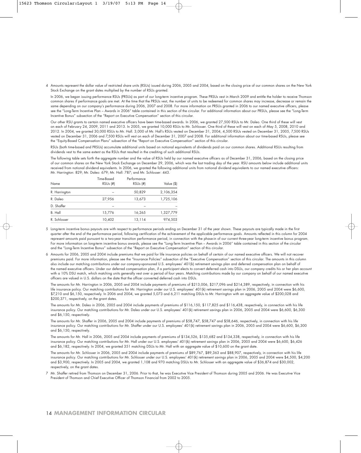4 Amounts represent the dollar value of restricted share units (RSUs) issued during 2006, 2005 and 2004, based on the closing price of our common shares on the New York Stock Exchange on the grant dates multiplied by the number of RSUs granted.

In 2006, we began issuing performance RSUs (PRSUs) as part of our long-term incentive program. These PRSUs vest in March 2009 and entitle the holder to receive Thomson common shares if performance goals are met. At the time that the PRSUs vest, the number of units to be redeemed for common shares may increase, decrease or remain the same depending on our company's performance during 2006, 2007 and 2008. For more information on PRSUs granted in 2006 to our named executive officers, please see the "Long-Term Incentive Plan – Awards in 2006" table contained in this section of the circular. For additional information about our PRSUs, please see the "Long-Term Incentive Bonus" subsection of the "Report on Executive Compensation" section of this circular.

Our other RSU grants to certain named executive officers have been time-based awards. In 2006, we granted 27,500 RSUs to Mr. Daleo. One third of these will vest on each of February 24, 2009, 2011 and 2013. In 2005, we granted 10,000 RSUs to Mr. Schlosser. One third of these will vest on each of May 5, 2008, 2010 and 2012. In 2004, we granted 30,000 RSUs to Mr. Hall. 3,000 of Mr. Hall's RSUs vested on December 31, 2004, 4,500 RSUs vested on December 31, 2005, 7,500 RSUs vested on December 31, 2006 and 7,500 RSUs will vest on each of December 31, 2007 and 2008. For additional information about our time-based RSUs, please see the "Equity-Based Compensation Plans" subsection of the "Report on Executive Compensation" section of this circular.

RSUs (both time-based and PRSUs) accumulate additional units based on notional equivalents of dividends paid on our common shares. Additional RSUs resulting from dividends vest to the same extent as the RSUs that resulted in the crediting of such additional RSUs.

The following table sets forth the aggregate number and the value of RSUs held by our named executive officers as of December 31, 2006, based on the closing price of our common shares on the New York Stock Exchange on December 29, 2006, which was the last trading day of the year. RSU amounts below include additional units received from notional dividend equivalents. In 2006, we granted the following additional units from notional dividend equivalents to our named executive officers: Mr. Harrington: 829; Mr. Daleo: 679; Mr. Hall: 787; and Mr. Schlosser: 443.

| Name          | Time-Based<br>$RSUs$ (#) | Performance<br>$RSUs$ (#) | Value (\$) |
|---------------|--------------------------|---------------------------|------------|
| R. Harrington |                          | 50,829                    | 2,106,354  |
| R. Daleo      | 27,956                   | 13,673                    | 1,725,106  |
| D. Shaffer    |                          |                           |            |
| B. Hall       | 15,776                   | 16,265                    | 1,327,779  |
| R. Schlosser  | 10,402                   | 13,114                    | 974,503    |

5 Long-term incentive bonus payouts are with respect to performance periods ending on December 31 of the year shown. These payouts are typically made in the first quarter after the end of the performance period, following certification of the achievement of the applicable performance goals. Amounts reflected in this column for 2004 represent amounts paid pursuant to a two-year transition performance period, in connection with the phase-in of our current three-year long-term incentive bonus program. For more information on long-term incentive bonus awards, please see the "Long-Term Incentive Plan – Awards in 2006" table contained in this section of the circular and the "Long-Term Incentive Bonus" subsection of the "Report on Executive Compensation" section of this circular.

6 Amounts for 2006, 2005 and 2004 include premiums that we paid for life insurance policies on behalf of certain of our named executive officers. We will not recover premiums paid. For more information, please see the "Insurance Policies" subsection of the "Executive Compensation" section of this circular. The amounts in this column also include our matching contributions under our company-sponsored U.S. employees' 401(k) retirement savings plan and deferred compensation plan on behalf of the named executive officers. Under our deferred compensation plan, if a participant elects to convert deferred cash into DSUs, our company credits his or her plan account with a 10% DSU match, which matching units generally vest over a period of four years. Matching contributions made by our company on behalf of our named executive officers are valued in U.S. dollars on the date that the officer converted deferred cash into DSUs.

The amounts for Mr. Harrington in 2006, 2005 and 2004 include payments of premiums of \$213,006, \$217,096 and \$214,389, respectively, in connection with his life insurance policy. Our matching contributions for Mr. Harrington under our U.S. employees' 401(k) retirement savings plan in 2006, 2005 and 2004 were \$6,600, \$7,210 and \$6,150, respectively. In 2006 and 2004, we granted 5,073 and 6,211 matching DSUs to Mr. Harrington with an aggregate value of \$200,028 and \$200,371, respectively, on the grant dates.

The amounts for Mr. Daleo in 2006, 2005 and 2004 include payments of premiums of \$116,150, \$117,825 and \$116,438, respectively, in connection with his life insurance policy. Our matching contributions for Mr. Daleo under our U.S. employees' 401(k) retirement savings plan in 2006, 2005 and 2004 were \$6,600, \$6,300 and \$6,150, respectively.

The amounts for Mr. Shaffer in 2006, 2005 and 2004 include payments of premiums of \$58,747, \$58,747 and \$58,646, respectively, in connection with his life insurance policy. Our matching contributions for Mr. Shaffer under our U.S. employees' 401(k) retirement savings plan in 2006, 2005 and 2004 were \$6,600, \$6,300 and \$6,150, respectively.

The amounts for Mr. Hall in 2006, 2005 and 2004 include payments of premiums of \$134,526, \$135,682 and \$134,338, respectively, in connection with his life insurance policy. Our matching contributions for Mr. Hall under our U.S. employees' 401(k) retirement savings plan in 2006, 2005 and 2004 were \$6,600, \$6,426 and \$6,182, respectively. In 2004, we granted 351 matching DSUs to Mr. Hall with an aggregate value of \$10,600 on the grant date.

The amounts for Mr. Schlosser in 2006, 2005 and 2004 include payments of premiums of \$89,767, \$89,363 and \$88,907, respectively, in connection with his life insurance policy. Our matching contributions for Mr. Schlosser under our U.S. employees' 401(k) retirement savings plan in 2006, 2005 and 2004 were \$4,500, \$4,200 and \$3,900, respectively. In 2005 and 2004, we granted 1,108 and 970 matching DSUs to Mr. Schlosser with an aggregate value of \$36,874 and \$30,002, respectively, on the grant dates.

7 Mr. Shaffer retired from Thomson on December 31, 2006. Prior to that, he was Executive Vice President of Thomson during 2005 and 2006. He was Executive Vice President of Thomson and Chief Executive Officer of Thomson Financial from 2002 to 2005.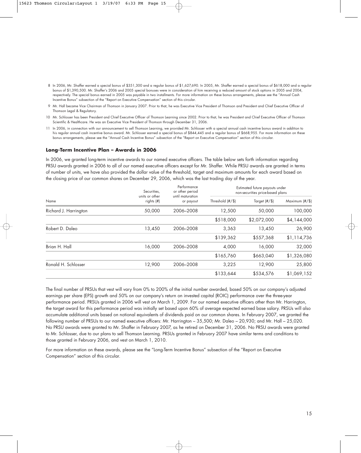- 8 In 2006, Mr. Shaffer earned a special bonus of \$351,300 and a regular bonus of \$1,627,690. In 2005, Mr. Shaffer earned a special bonus of \$618,000 and a regular bonus of \$1,390,500. Mr. Shaffer's 2006 and 2005 special bonuses were in consideration of him receiving a reduced amount of stock options in 2005 and 2004, respectively. The special bonus earned in 2005 was payable in two installments. For more information on these bonus arrangements, please see the "Annual Cash Incentive Bonus" subsection of the "Report on Executive Compensation" section of this circular.
- 9 Mr. Hall became Vice Chairman of Thomson in January 2007. Prior to that, he was Executive Vice President of Thomson and President and Chief Executive Officer of Thomson Legal & Regulatory.
- 10 Mr. Schlosser has been President and Chief Executive Officer of Thomson Learning since 2002. Prior to that, he was President and Chief Executive Officer of Thomson Scientific & Healthcare. He was an Executive Vice President of Thomson through December 31, 2006.
- 11 In 2006, in connection with our announcement to sell Thomson Learning, we provided Mr. Schlosser with a special annual cash incentive bonus award in addition to his regular annual cash incentive bonus award. Mr. Schlosser earned a special bonus of \$844,445 and a regular bonus of \$668,955. For more information on these bonus arrangements, please see the "Annual Cash Incentive Bonus" subsection of the "Report on Executive Compensation" section of this circular.

### **Long-Term Incentive Plan – Awards in 2006**

In 2006, we granted long-term incentive awards to our named executive officers. The table below sets forth information regarding PRSU awards granted in 2006 to all of our named executive officers except for Mr. Shaffer. While PRSU awards are granted in terms of number of units, we have also provided the dollar value of the threshold, target and maximum amounts for each award based on the closing price of our common shares on December 29, 2006, which was the last trading day of the year.

|                       | Securities,<br>until maturation<br>units or other<br>rights (#) | Performance<br>or other period | Estimated future payouts under<br>non-securities price-based plans |                  |                |
|-----------------------|-----------------------------------------------------------------|--------------------------------|--------------------------------------------------------------------|------------------|----------------|
| Name                  |                                                                 | or payout                      | Threshold $(\#/\$)$                                                | Target $(\#/\$)$ | Maximum (#/\$) |
| Richard J. Harrington | 50,000                                                          | 2006-2008                      | 12,500                                                             | 50,000           | 100,000        |
|                       |                                                                 |                                | \$518,000                                                          | \$2,072,000      | \$4,144,000    |
| Robert D. Daleo       | 13,450                                                          | 2006-2008                      | 3,363                                                              | 13,450           | 26,900         |
|                       |                                                                 |                                | \$139,362                                                          | \$557,368        | \$1,114,736    |
| Brian H. Hall         | 16,000                                                          | 2006-2008                      | 4,000                                                              | 16,000           | 32,000         |
|                       |                                                                 |                                | \$165,760                                                          | \$663,040        | \$1,326,080    |
| Ronald H. Schlosser   | 12,900                                                          | 2006-2008                      | 3,225                                                              | 12,900           | 25,800         |
|                       |                                                                 |                                | \$133,644                                                          | \$534,576        | \$1,069,152    |
|                       |                                                                 |                                |                                                                    |                  |                |

The final number of PRSUs that vest will vary from 0% to 200% of the initial number awarded, based 50% on our company's adjusted earnings per share (EPS) growth and 50% on our company's return on invested capital (ROIC) performance over the three-year performance period. PRSUs granted in 2006 will vest on March 1, 2009. For our named executive officers other than Mr. Harrington, the target award for this performance period was initially set based upon 60% of average expected earned base salary. PRSUs will also accumulate additional units based on notional equivalents of dividends paid on our common shares. In February 2007, we granted the following number of PRSUs to our named executive officers: Mr. Harrington – 35,500; Mr. Daleo – 20,930; and Mr. Hall – 25,020. No PRSU awards were granted to Mr. Shaffer in February 2007, as he retired on December 31, 2006. No PRSU awards were granted to Mr. Schlosser, due to our plans to sell Thomson Learning. PRSUs granted in February 2007 have similar terms and conditions to those granted in February 2006, and vest on March 1, 2010.

For more information on these awards, please see the "Long-Term Incentive Bonus" subsection of the "Report on Executive Compensation" section of this circular.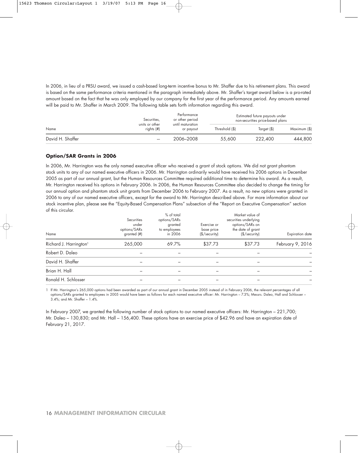In 2006, in lieu of a PRSU award, we issued a cash-based long-term incentive bonus to Mr. Shaffer due to his retirement plans. This award is based on the same performance criteria mentioned in the paragraph immediately above. Mr. Shaffer's target award below is a pro-rated amount based on the fact that he was only employed by our company for the first year of the performance period. Any amounts earned will be paid to Mr. Shaffer in March 2009. The following table sets forth information regarding this award.

| Name             | Securities,<br>units or other | Performance<br>or other period<br>until maturation |                | Estimated future payouts under<br>non-securities price-based plans |              |  |
|------------------|-------------------------------|----------------------------------------------------|----------------|--------------------------------------------------------------------|--------------|--|
|                  | rights $(H)$                  | or payout                                          | Threshold (\$) | Target (\$)                                                        | Maximum (\$) |  |
| David H. Shaffer |                               | 2006-2008                                          | 55,600         | 222,400                                                            | 444,800      |  |

### **Option/SAR Grants in 2006**

In 2006, Mr. Harrington was the only named executive officer who received a grant of stock options. We did not grant phantom stock units to any of our named executive officers in 2006. Mr. Harrington ordinarily would have received his 2006 options in December 2005 as part of our annual grant, but the Human Resources Committee required additional time to determine his award. As a result, Mr. Harrington received his options in February 2006. In 2006, the Human Resources Committee also decided to change the timing for our annual option and phantom stock unit grants from December 2006 to February 2007. As a result, no new options were granted in 2006 to any of our named executive officers, except for the award to Mr. Harrington described above. For more information about our stock incentive plan, please see the "Equity-Based Compensation Plans" subsection of the "Report on Executive Compensation" section of this circular.

| Name                               | Securities<br>under<br>options/SARs<br>granted (#) | % of total<br>options/SARs<br>granted<br>to employees<br>in 2006 | Exercise or<br>base price<br>$(\frac{1}{2})$ security | Market value of<br>securities underlying<br>options/SARs on<br>the date of grant<br>$(\sqrt[6]{ security)$ | <b>Expiration</b> date |
|------------------------------------|----------------------------------------------------|------------------------------------------------------------------|-------------------------------------------------------|------------------------------------------------------------------------------------------------------------|------------------------|
| Richard J. Harrington <sup>1</sup> | 265,000                                            | 69.7%                                                            | \$37.73                                               | \$37.73                                                                                                    | February 9, 2016       |
| Robert D. Daleo                    |                                                    |                                                                  |                                                       |                                                                                                            |                        |
| David H. Shaffer                   |                                                    |                                                                  |                                                       |                                                                                                            |                        |
| Brian H. Hall                      |                                                    |                                                                  |                                                       |                                                                                                            |                        |
| Ronald H. Schlosser                |                                                    |                                                                  |                                                       |                                                                                                            |                        |

1 If Mr. Harrington's 265,000 options had been awarded as part of our annual grant in December 2005 instead of in February 2006, the relevant percentages of all options/SARs granted to employees in 2005 would have been as follows for each named executive officer: Mr. Harrington – 7.3%; Messrs. Daleo, Hall and Schlosser – 3.4%; and Mr. Shaffer – 1.4%.

In February 2007, we granted the following number of stock options to our named executive officers: Mr. Harrington – 221,700; Mr. Daleo – 130,830; and Mr. Hall – 156,400. These options have an exercise price of \$42.96 and have an expiration date of February 21, 2017.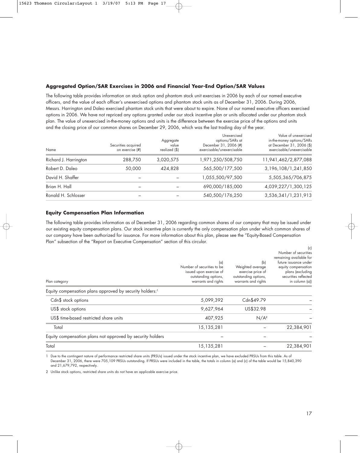# **Aggregated Option/SAR Exercises in 2006 and Financial Year-End Option/SAR Values**

The following table provides information on stock option and phantom stock unit exercises in 2006 by each of our named executive officers, and the value of each officer's unexercised options and phantom stock units as of December 31, 2006. During 2006, Messrs. Harrington and Daleo exercised phantom stock units that were about to expire. None of our named executive officers exercised options in 2006. We have not repriced any options granted under our stock incentive plan or units allocated under our phantom stock plan. The value of unexercised in-the-money options and units is the difference between the exercise price of the options and units and the closing price of our common shares on December 29, 2006, which was the last trading day of the year.

| Name                  | Securities acquired<br>on exercise (#) | Aggregate<br>value<br>realized (\$) | Unexercised<br>options/SARs at<br>December 31, 2006 (#)<br>exercisable/unexercisable | Value of unexercised<br>in-the-money options/SARs<br>at December 31, 2006 (\$)<br>exercisable/unexercisable |
|-----------------------|----------------------------------------|-------------------------------------|--------------------------------------------------------------------------------------|-------------------------------------------------------------------------------------------------------------|
| Richard J. Harrington | 288,750                                | 3,020,575                           | 1,971,250/508,750                                                                    | 11,941,462/2,877,088                                                                                        |
| Robert D. Daleo       | 50,000                                 | 424,828                             | 565,500/177,500                                                                      | 3, 196, 108/1, 241, 850                                                                                     |
| David H. Shaffer      |                                        |                                     | 1,055,500/97,500                                                                     | 5,505,365/706,875                                                                                           |
| Brian H. Hall         | $\qquad \qquad$                        |                                     | 690,000/185,000                                                                      | 4,039,227/1,300,125                                                                                         |
| Ronald H. Schlosser   |                                        |                                     | 540,500/176,250                                                                      | 3,536,341/1,231,913                                                                                         |
|                       |                                        |                                     |                                                                                      |                                                                                                             |

# **Equity Compensation Plan Information**

The following table provides information as of December 31, 2006 regarding common shares of our company that may be issued under our existing equity compensation plans. Our stock incentive plan is currently the only compensation plan under which common shares of our company have been authorized for issuance. For more information about this plan, please see the "Equity-Based Compensation Plan" subsection of the "Report on Executive Compensation" section of this circular.

| Plan category                                                        | $(\alpha)$<br>Number of securities to be<br>issued upon exercise of<br>outstanding options,<br>warrants and rights | (b)<br>Weighted average<br>exercise price of<br>outstanding options,<br>warrants and rights | $\sim$<br>Number of securities<br>remaining available for<br>future issuance under<br>equity compensation<br>plans (excluding<br>securities reflected<br>in column (a)) |
|----------------------------------------------------------------------|--------------------------------------------------------------------------------------------------------------------|---------------------------------------------------------------------------------------------|-------------------------------------------------------------------------------------------------------------------------------------------------------------------------|
| Equity compensation plans approved by security holders: <sup>1</sup> |                                                                                                                    |                                                                                             |                                                                                                                                                                         |
| Cdn\$ stock options                                                  | 5,099,392                                                                                                          | Cdn\$49.79                                                                                  |                                                                                                                                                                         |
| US\$ stock options                                                   | 9,627,964                                                                                                          | US\$32.98                                                                                   |                                                                                                                                                                         |
| US\$ time-based restricted share units                               | 407,925                                                                                                            | N/A <sup>2</sup>                                                                            |                                                                                                                                                                         |
| Total                                                                | 15,135,281                                                                                                         |                                                                                             | 22,384,901                                                                                                                                                              |
| Equity compensation plans not approved by security holders           |                                                                                                                    |                                                                                             |                                                                                                                                                                         |
| Total                                                                | 15,135,281                                                                                                         |                                                                                             | 22,384,901                                                                                                                                                              |

1 Due to the contingent nature of performance restricted share units (PRSUs) issued under the stock incentive plan, we have excluded PRSUs from this table. As of December 31, 2006, there were 705,109 PRSUs outstanding. If PRSUs were included in the table, the totals in column (a) and (c) of the table would be 15,840,390 and 21,679,792, respectively.

2 Unlike stock options, restricted share units do not have an applicable exercise price.

 $\mathcal{L}_{\alpha}$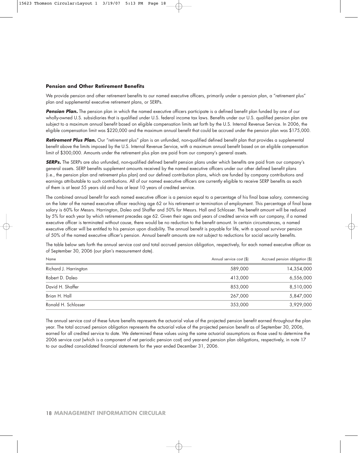### **Pension and Other Retirement Benefits**

We provide pension and other retirement benefits to our named executive officers, primarily under a pension plan, a "retirement plus" plan and supplemental executive retirement plans, or SERPs.

**Pension Plan.** The pension plan in which the named executive officers participate is a defined benefit plan funded by one of our wholly-owned U.S. subsidiaries that is qualified under U.S. federal income tax laws. Benefits under our U.S. qualified pension plan are subject to a maximum annual benefit based on eligible compensation limits set forth by the U.S. Internal Revenue Service. In 2006, the eligible compensation limit was \$220,000 and the maximum annual benefit that could be accrued under the pension plan was \$175,000.

**Retirement Plus Plan.** Our "retirement plus" plan is an unfunded, non-qualified defined benefit plan that provides a supplemental benefit above the limits imposed by the U.S. Internal Revenue Service, with a maximum annual benefit based on an eligible compensation limit of \$300,000. Amounts under the retirement plus plan are paid from our company's general assets.

**SERPs.** The SERPs are also unfunded, non-qualified defined benefit pension plans under which benefits are paid from our company's general assets. SERP benefits supplement amounts received by the named executive officers under our other defined benefit plans (i.e., the pension plan and retirement plus plan) and our defined contribution plans, which are funded by company contributions and earnings attributable to such contributions. All of our named executive officers are currently eligible to receive SERP benefits as each of them is at least 55 years old and has at least 10 years of credited service.

The combined annual benefit for each named executive officer is a pension equal to a percentage of his final base salary, commencing on the later of the named executive officer reaching age 62 or his retirement or termination of employment. This percentage of final base salary is 60% for Messrs. Harrington, Daleo and Shaffer and 50% for Messrs. Hall and Schlosser. The benefit amount will be reduced by 5% for each year by which retirement precedes age 62. Given their ages and years of credited service with our company, if a named executive officer is terminated without cause, there would be no reduction to the benefit amount. In certain circumstances, a named executive officer will be entitled to his pension upon disability. The annual benefit is payable for life, with a spousal survivor pension of 50% of the named executive officer's pension. Annual benefit amounts are not subject to reductions for social security benefits.

The table below sets forth the annual service cost and total accrued pension obligation, respectively, for each named executive officer as of September 30, 2006 (our plan's measurement date).

| Name                  | Annual service cost (\$) | Accrued pension obligation (\$) |  |
|-----------------------|--------------------------|---------------------------------|--|
| Richard J. Harrington | 589,000                  | 14,354,000                      |  |
| Robert D. Daleo       | 413,000                  | 6,556,000                       |  |
| David H. Shaffer      | 853,000                  | 8,510,000                       |  |
| Brian H. Hall         | 267,000                  | 5,847,000                       |  |
| Ronald H. Schlosser   | 353,000                  | 3,929,000                       |  |

The annual service cost of these future benefits represents the actuarial value of the projected pension benefit earned throughout the plan year. The total accrued pension obligation represents the actuarial value of the projected pension benefit as of September 30, 2006, earned for all credited service to date. We determined these values using the same actuarial assumptions as those used to determine the 2006 service cost (which is a component of net periodic pension cost) and year-end pension plan obligations, respectively, in note 17 to our audited consolidated financial statements for the year ended December 31, 2006.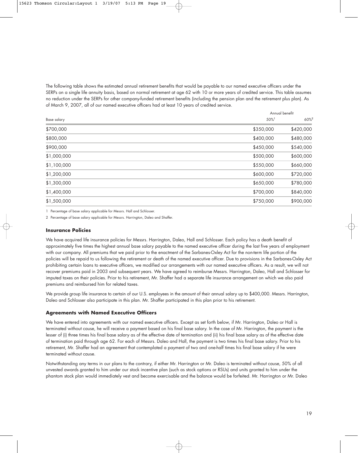The following table shows the estimated annual retirement benefits that would be payable to our named executive officers under the SERPs on a single life annuity basis, based on normal retirement at age 62 with 10 or more years of credited service. This table assumes no reduction under the SERPs for other company-funded retirement benefits (including the pension plan and the retirement plus plan). As of March 9, 2007, all of our named executive officers had at least 10 years of credited service.

| Base salary |           | Annual benefit   |  |  |
|-------------|-----------|------------------|--|--|
|             | 50%       | 60% <sup>2</sup> |  |  |
| \$700,000   | \$350,000 | \$420,000        |  |  |
| \$800,000   | \$400,000 | \$480,000        |  |  |
| \$900,000   | \$450,000 | \$540,000        |  |  |
| \$1,000,000 | \$500,000 | \$600,000        |  |  |
| \$1,100,000 | \$550,000 | \$660,000        |  |  |
| \$1,200,000 | \$600,000 | \$720,000        |  |  |
| \$1,300,000 | \$650,000 | \$780,000        |  |  |
| \$1,400,000 | \$700,000 | \$840,000        |  |  |
| \$1,500,000 | \$750,000 | \$900,000        |  |  |
|             |           |                  |  |  |

1 Percentage of base salary applicable for Messrs. Hall and Schlosser.

2 Percentage of base salary applicable for Messrs. Harrington, Daleo and Shaffer.

### **Insurance Policies**

We have acquired life insurance policies for Messrs. Harrington, Daleo, Hall and Schlosser. Each policy has a death benefit of approximately five times the highest annual base salary payable to the named executive officer during the last five years of employment with our company. All premiums that we paid prior to the enactment of the Sarbanes-Oxley Act for the non-term life portion of the policies will be repaid to us following the retirement or death of the named executive officer. Due to provisions in the Sarbanes-Oxley Act prohibiting certain loans to executive officers, we modified our arrangements with our named executive officers. As a result, we will not recover premiums paid in 2003 and subsequent years. We have agreed to reimburse Messrs. Harrington, Daleo, Hall and Schlosser for imputed taxes on their policies. Prior to his retirement, Mr. Shaffer had a separate life insurance arrangement on which we also paid premiums and reimbursed him for related taxes.

We provide group life insurance to certain of our U.S. employees in the amount of their annual salary up to \$400,000. Messrs. Harrington, Daleo and Schlosser also participate in this plan. Mr. Shaffer participated in this plan prior to his retirement.

### **Agreements with Named Executive Officers**

We have entered into agreements with our named executive officers. Except as set forth below, if Mr. Harrington, Daleo or Hall is terminated without cause, he will receive a payment based on his final base salary. In the case of Mr. Harrington, the payment is the lesser of (i) three times his final base salary as of the effective date of termination and (ii) his final base salary as of the effective date of termination paid through age 62. For each of Messrs. Daleo and Hall, the payment is two times his final base salary. Prior to his retirement, Mr. Shaffer had an agreement that contemplated a payment of two and one-half times his final base salary if he were terminated without cause.

Notwithstanding any terms in our plans to the contrary, if either Mr. Harrington or Mr. Daleo is terminated without cause, 50% of all unvested awards granted to him under our stock incentive plan (such as stock options or RSUs) and units granted to him under the phantom stock plan would immediately vest and become exercisable and the balance would be forfeited. Mr. Harrington or Mr. Daleo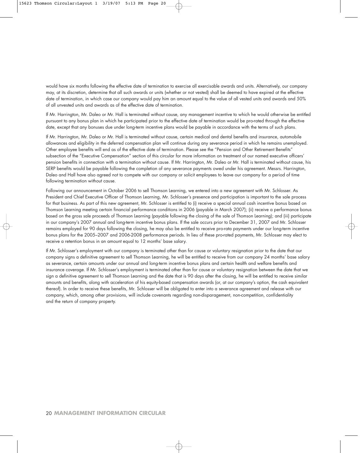would have six months following the effective date of termination to exercise all exercisable awards and units. Alternatively, our company may, at its discretion, determine that all such awards or units (whether or not vested) shall be deemed to have expired at the effective date of termination, in which case our company would pay him an amount equal to the value of all vested units and awards and 50% of all unvested units and awards as of the effective date of termination.

If Mr. Harrington, Mr. Daleo or Mr. Hall is terminated without cause, any management incentive to which he would otherwise be entitled pursuant to any bonus plan in which he participated prior to the effective date of termination would be pro-rated through the effective date, except that any bonuses due under long-term incentive plans would be payable in accordance with the terms of such plans.

If Mr. Harrington, Mr. Daleo or Mr. Hall is terminated without cause, certain medical and dental benefits and insurance, automobile allowances and eligibility in the deferred compensation plan will continue during any severance period in which he remains unemployed. Other employee benefits will end as of the effective date of termination. Please see the "Pension and Other Retirement Benefits" subsection of the "Executive Compensation" section of this circular for more information on treatment of our named executive officers' pension benefits in connection with a termination without cause. If Mr. Harrington, Mr. Daleo or Mr. Hall is terminated without cause, his SERP benefits would be payable following the completion of any severance payments owed under his agreement. Messrs. Harrington, Daleo and Hall have also agreed not to compete with our company or solicit employees to leave our company for a period of time following termination without cause.

Following our announcement in October 2006 to sell Thomson Learning, we entered into a new agreement with Mr. Schlosser. As President and Chief Executive Officer of Thomson Learning, Mr. Schlosser's presence and participation is important to the sale process for that business. As part of this new agreement, Mr. Schlosser is entitled to (i) receive a special annual cash incentive bonus based on Thomson Learning meeting certain financial performance conditions in 2006 (payable in March 2007); (ii) receive a performance bonus based on the gross sale proceeds of Thomson Learning (payable following the closing of the sale of Thomson Learning); and (iii) participate in our company's 2007 annual and long-term incentive bonus plans. If the sale occurs prior to December 31, 2007 and Mr. Schlosser remains employed for 90 days following the closing, he may also be entitled to receive pro-rata payments under our long-term incentive bonus plans for the 2005–2007 and 2006-2008 performance periods. In lieu of these pro-rated payments, Mr. Schlosser may elect to receive a retention bonus in an amount equal to 12 months' base salary.

If Mr. Schlosser's employment with our company is terminated other than for cause or voluntary resignation prior to the date that our company signs a definitive agreement to sell Thomson Learning, he will be entitled to receive from our company 24 months' base salary as severance, certain amounts under our annual and long-term incentive bonus plans and certain health and welfare benefits and insurance coverage. If Mr. Schlosser's employment is terminated other than for cause or voluntary resignation between the date that we sign a definitive agreement to sell Thomson Learning and the date that is 90 days after the closing, he will be entitled to receive similar amounts and benefits, along with acceleration of his equity-based compensation awards (or, at our company's option, the cash equivalent thereof). In order to receive these benefits, Mr. Schlosser will be obligated to enter into a severance agreement and release with our company, which, among other provisions, will include covenants regarding non-disparagement, non-competition, confidentiality and the return of company property.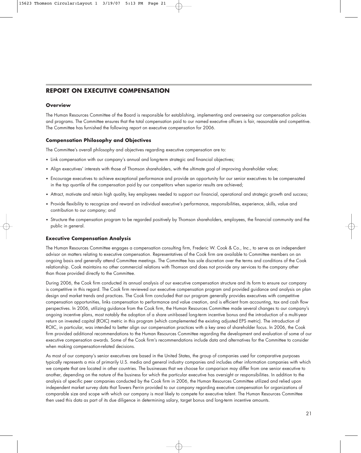# **REPORT ON EXECUTIVE COMPENSATION**

### **Overview**

The Human Resources Committee of the Board is responsible for establishing, implementing and overseeing our compensation policies and programs. The Committee ensures that the total compensation paid to our named executive officers is fair, reasonable and competitive. The Committee has furnished the following report on executive compensation for 2006.

### **Compensation Philosophy and Objectives**

The Committee's overall philosophy and objectives regarding executive compensation are to:

- Link compensation with our company's annual and long-term strategic and financial objectives;
- Align executives' interests with those of Thomson shareholders, with the ultimate goal of improving shareholder value;
- Encourage executives to achieve exceptional performance and provide an opportunity for our senior executives to be compensated in the top quartile of the compensation paid by our competitors when superior results are achieved;
- Attract, motivate and retain high quality, key employees needed to support our financial, operational and strategic growth and success;
- Provide flexibility to recognize and reward an individual executive's performance, responsibilities, experience, skills, value and contribution to our company; and
- Structure the compensation program to be regarded positively by Thomson shareholders, employees, the financial community and the public in general.

# **Executive Compensation Analysis**

The Human Resources Committee engages a compensation consulting firm, Frederic W. Cook & Co., Inc., to serve as an independent advisor on matters relating to executive compensation. Representatives of the Cook firm are available to Committee members on an ongoing basis and generally attend Committee meetings. The Committee has sole discretion over the terms and conditions of the Cook relationship. Cook maintains no other commercial relations with Thomson and does not provide any services to the company other than those provided directly to the Committee.

During 2006, the Cook firm conducted its annual analysis of our executive compensation structure and its form to ensure our company is competitive in this regard. The Cook firm reviewed our executive compensation program and provided guidance and analysis on plan design and market trends and practices. The Cook firm concluded that our program generally provides executives with competitive compensation opportunities, links compensation to performance and value creation, and is efficient from accounting, tax and cash flow perspectives. In 2006, utilizing guidance from the Cook firm, the Human Resources Committee made several changes to our company's ongoing incentive plans, most notably the adoption of a share unit-based long-term incentive bonus and the introduction of a multi-year return on invested capital (ROIC) metric in this program (which complemented the existing adjusted EPS metric). The introduction of ROIC, in particular, was intended to better align our compensation practices with a key area of shareholder focus. In 2006, the Cook firm provided additional recommendations to the Human Resources Committee regarding the development and evaluation of some of our executive compensation awards. Some of the Cook firm's recommendations include data and alternatives for the Committee to consider when making compensation-related decisions.

As most of our company's senior executives are based in the United States, the group of companies used for comparative purposes typically represents a mix of primarily U.S. media and general industry companies and includes other information companies with which we compete that are located in other countries. The businesses that we choose for comparison may differ from one senior executive to another, depending on the nature of the business for which the particular executive has oversight or responsibilities. In addition to the analysis of specific peer companies conducted by the Cook firm in 2006, the Human Resources Committee utilized and relied upon independent market survey data that Towers Perrin provided to our company regarding executive compensation for organizations of comparable size and scope with which our company is most likely to compete for executive talent. The Human Resources Committee then used this data as part of its due diligence in determining salary, target bonus and long-term incentive amounts.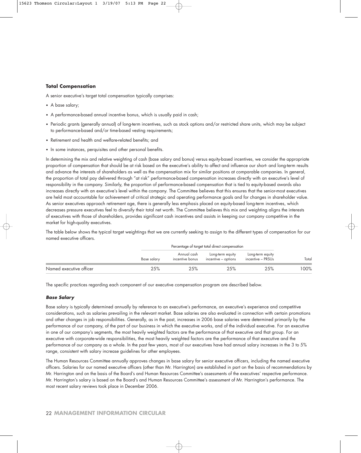# **Total Compensation**

A senior executive's target total compensation typically comprises:

- A base salary;
- A performance-based annual incentive bonus, which is usually paid in cash;
- Periodic grants (generally annual) of long-term incentives, such as stock options and/or restricted share units, which may be subject to performance-based and/or time-based vesting requirements;
- Retirement and health and welfare-related benefits; and
- In some instances, perquisites and other personal benefits.

In determining the mix and relative weighting of cash (base salary and bonus) versus equity-based incentives, we consider the appropriate proportion of compensation that should be at risk based on the executive's ability to affect and influence our short- and long-term results and advance the interests of shareholders as well as the compensation mix for similar positions at comparable companies. In general, the proportion of total pay delivered through "at risk" performance-based compensation increases directly with an executive's level of responsibility in the company. Similarly, the proportion of performance-based compensation that is tied to equity-based awards also increases directly with an executive's level within the company. The Committee believes that this ensures that the senior-most executives are held most accountable for achievement of critical strategic and operating performance goals and for changes in shareholder value. As senior executives approach retirement age, there is generally less emphasis placed on equity-based long-term incentives, which decreases pressure executives feel to diversify their total net worth. The Committee believes this mix and weighting aligns the interests of executives with those of shareholders, provides significant cash incentives and assists in keeping our company competitive in the market for high-quality executives.

The table below shows the typical target weightings that we are currently seeking to assign to the different types of compensation for our named executive officers.

|                         | Percentage of target total direct compensation |                                |                                         |                                       |       |
|-------------------------|------------------------------------------------|--------------------------------|-----------------------------------------|---------------------------------------|-------|
|                         | Base salary                                    | Annual cash<br>incentive bonus | Long-term equity<br>incentive – options | Long-term equity<br>incentive – PRSUs | Total |
| Named executive officer | 25%                                            | 25%                            | 25%                                     | 25%                                   | 100%  |

The specific practices regarding each component of our executive compensation program are described below.

# **Base Salary**

Base salary is typically determined annually by reference to an executive's performance, an executive's experience and competitive considerations, such as salaries prevailing in the relevant market. Base salaries are also evaluated in connection with certain promotions and other changes in job responsibilities. Generally, as in the past, increases in 2006 base salaries were determined primarily by the performance of our company, of the part of our business in which the executive works, and of the individual executive. For an executive in one of our company's segments, the most heavily weighted factors are the performance of that executive and that group. For an executive with corporate-wide responsibilities, the most heavily weighted factors are the performance of that executive and the performance of our company as a whole. In the past few years, most of our executives have had annual salary increases in the 3 to 5% range, consistent with salary increase guidelines for other employees.

The Human Resources Committee annually approves changes in base salary for senior executive officers, including the named executive officers. Salaries for our named executive officers (other than Mr. Harrington) are established in part on the basis of recommendations by Mr. Harrington and on the basis of the Board's and Human Resources Committee's assessments of the executives' respective performance. Mr. Harrington's salary is based on the Board's and Human Resources Committee's assessment of Mr. Harrington's performance. The most recent salary reviews took place in December 2006.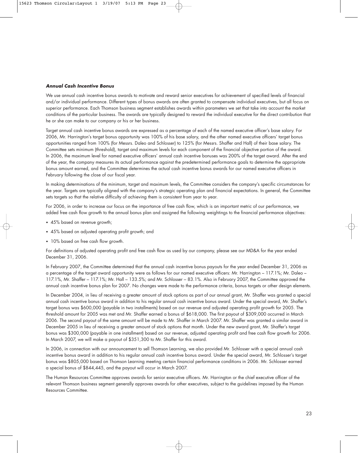### **Annual Cash Incentive Bonus**

We use annual cash incentive bonus awards to motivate and reward senior executives for achievement of specified levels of financial and/or individual performance. Different types of bonus awards are often granted to compensate individual executives, but all focus on superior performance. Each Thomson business segment establishes awards within parameters we set that take into account the market conditions of the particular business. The awards are typically designed to reward the individual executive for the direct contribution that he or she can make to our company or his or her business.

Target annual cash incentive bonus awards are expressed as a percentage of each of the named executive officer's base salary. For 2006, Mr. Harrington's target bonus opportunity was 100% of his base salary, and the other named executive officers' target bonus opportunities ranged from 100% (for Messrs. Daleo and Schlosser) to 125% (for Messrs. Shaffer and Hall) of their base salary. The Committee sets minimum (threshold), target and maximum levels for each component of the financial objective portion of the award. In 2006, the maximum level for named executive officers' annual cash incentive bonuses was 200% of the target award. After the end of the year, the company measures its actual performance against the predetermined performance goals to determine the appropriate bonus amount earned, and the Committee determines the actual cash incentive bonus awards for our named executive officers in February following the close of our fiscal year.

In making determinations of the minimum, target and maximum levels, the Committee considers the company's specific circumstances for the year. Targets are typically aligned with the company's strategic operating plan and financial expectations. In general, the Committee sets targets so that the relative difficulty of achieving them is consistent from year to year.

For 2006, in order to increase our focus on the importance of free cash flow, which is an important metric of our performance, we added free cash flow growth to the annual bonus plan and assigned the following weightings to the financial performance objectives:

- 45% based on revenue growth;
- 45% based on adjusted operating profit growth; and
- 10% based on free cash flow growth.

For definitions of adjusted operating profit and free cash flow as used by our company, please see our MD&A for the year ended December 31, 2006.

In February 2007, the Committee determined that the annual cash incentive bonus payouts for the year ended December 31, 2006 as a percentage of the target award opportunity were as follows for our named executive officers: Mr. Harrington – 117.1%; Mr. Daleo – 117.1%, Mr. Shaffer – 117.1%; Mr. Hall – 133.5%; and Mr. Schlosser – 83.1%. Also in February 2007, the Committee approved the annual cash incentive bonus plan for 2007. No changes were made to the performance criteria, bonus targets or other design elements.

In December 2004, in lieu of receiving a greater amount of stock options as part of our annual grant, Mr. Shaffer was granted a special annual cash incentive bonus award in addition to his regular annual cash incentive bonus award. Under the special award, Mr. Shaffer's target bonus was \$600,000 (payable in two installments) based on our revenue and adjusted operating profit growth for 2005. The threshold amount for 2005 was met and Mr. Shaffer earned a bonus of \$618,000. The first payout of \$309,000 occurred in March 2006. The second payout of the same amount will be made to Mr. Shaffer in March 2007. Mr. Shaffer was granted a similar award in December 2005 in lieu of receiving a greater amount of stock options that month. Under the new award grant, Mr. Shaffer's target bonus was \$300,000 (payable in one installment) based on our revenue, adjusted operating profit and free cash flow growth for 2006. In March 2007, we will make a payout of \$351,300 to Mr. Shaffer for this award.

In 2006, in connection with our announcement to sell Thomson Learning, we also provided Mr. Schlosser with a special annual cash incentive bonus award in addition to his regular annual cash incentive bonus award. Under the special award, Mr. Schlosser's target bonus was \$805,000 based on Thomson Learning meeting certain financial performance conditions in 2006. Mr. Schlosser earned a special bonus of \$844,445, and the payout will occur in March 2007.

The Human Resources Committee approves awards for senior executive officers. Mr. Harrington or the chief executive officer of the relevant Thomson business segment generally approves awards for other executives, subject to the guidelines imposed by the Human Resources Committee.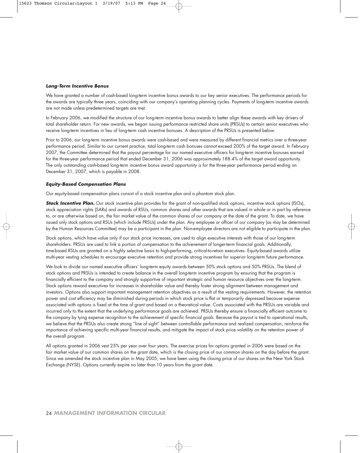#### **Long-Term Incentive Bonus**

We have granted a number of cash-based long-term incentive bonus awards to our key senior executives. The performance periods for the awards are typically three years, coinciding with our company's operating planning cycles. Payments of long-term incentive awards are not made unless predetermined targets are met.

In February 2006, we modified the structure of our long-term incentive bonus awards to better align these awards with key drivers of total shareholder return. For new awards, we began issuing performance restricted share units (PRSUs) to certain senior executives who receive long-term incentives in lieu of long-term cash incentive bonuses. A description of the PRSUs is presented below.

Prior to 2006, our long-term incentive bonus awards were cash-based and were measured by different financial metrics over a three-year performance period. Similar to our current practice, total long-term cash bonuses cannot exceed 200% of the target award. In February 2007, the Committee determined that the payout percentage for our named executive officers for long-term incentive bonuses earned for the three-year performance period that ended December 31, 2006 was approximately 188.4% of the target award opportunity. The only outstanding cash-based long-term incentive bonus award opportunity is for the three-year performance period ending on December 31, 2007, which is payable in 2008.

#### **Equity-Based Compensation Plans**

Our equity-based compensation plans consist of a stock incentive plan and a phantom stock plan.

**Stock Incentive Plan.** Our stock incentive plan provides for the grant of non-qualified stock options, incentive stock options (ISOs), stock appreciation rights (SARs) and awards of RSUs, common shares and other awards that are valued in whole or in part by reference to, or are otherwise based on, the fair market value of the common shares of our company at the date of the grant. To date, we have issued only stock options and RSUs (which include PRSUs) under the plan. Any employee or officer of our company (as may be determined by the Human Resources Committee) may be a participant in the plan. Non-employee directors are not eligible to participate in the plan.

Stock options, which have value only if our stock price increases, are used to align executive interests with those of our long-term shareholders. PRSUs are used to link a portion of compensation to the achievement of longer-term financial goals. Additionally, time-based RSUs are granted on a highly selective basis to high-performing, critical-to-retain executives. Equity-based awards utilize multi-year vesting schedules to encourage executive retention and provide strong incentives for superior long-term future performance.

We look to divide our named executive officers' long-term equity awards between 50% stock options and 50% PRSUs. The blend of stock options and PRSUs is intended to create balance in the overall long-term incentive program by ensuring that the program is financially efficient to the company and strongly supportive of important strategic and human resource objectives over the long-term. Stock options reward executives for increases in shareholder value and thereby foster strong alignment between management and investors. Options also support important management retention objectives as a result of the vesting requirements. However, the retention power and cost efficiency may be diminished during periods in which stock price is flat or temporarily depressed because expense associated with options is fixed at the time of grant and based on a theoretical value. Costs associated with the PRSUs are variable and incurred only to the extent that the underlying performance goals are achieved. PRSUs thereby ensure a financially efficient outcome to the company by tying expense recognition to the achievement of specific financial goals. Because the payout is tied to operational results, we believe that the PRSUs also create strong "line of sight" between controllable performance and realized compensation, reinforce the importance of achieving specific multi-year financial results, and mitigate the impact of stock price volatility on the retention power of the overall program.

All options granted in 2006 vest 25% per year over four years. The exercise prices for options granted in 2006 were based on the fair market value of our common shares on the grant date, which is the closing price of our common shares on the day before the grant. Since we amended the stock incentive plan in May 2005, we have been using the closing price of our shares on the New York Stock Exchange (NYSE). Options currently expire no later than 10 years from the grant date.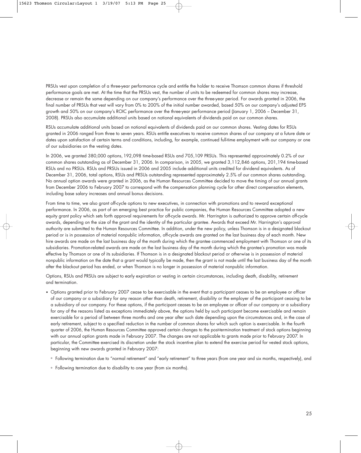PRSUs vest upon completion of a three-year performance cycle and entitle the holder to receive Thomson common shares if threshold performance goals are met. At the time that the PRSUs vest, the number of units to be redeemed for common shares may increase, decrease or remain the same depending on our company's performance over the three-year period. For awards granted in 2006, the final number of PRSUs that vest will vary from 0% to 200% of the initial number awarded, based 50% on our company's adjusted EPS growth and 50% on our company's ROIC performance over the three-year performance period (January 1, 2006 – December 31, 2008). PRSUs also accumulate additional units based on notional equivalents of dividends paid on our common shares.

RSUs accumulate additional units based on notional equivalents of dividends paid on our common shares. Vesting dates for RSUs granted in 2006 ranged from three to seven years. RSUs entitle executives to receive common shares of our company at a future date or dates upon satisfaction of certain terms and conditions, including, for example, continued full-time employment with our company or one of our subsidiaries on the vesting dates.

In 2006, we granted 380,000 options, 192,098 time-based RSUs and 705,109 PRSUs. This represented approximately 0.2% of our common shares outstanding as of December 31, 2006. In comparison, in 2005, we granted 3,112,846 options, 201,194 time-based RSUs and no PRSUs. RSUs and PRSUs issued in 2006 and 2005 include additional units credited for dividend equivalents. As of December 31, 2006, total options, RSUs and PRSUs outstanding represented approximately 2.5% of our common shares outstanding. No annual option awards were granted in 2006, as the Human Resources Committee decided to move the timing of our annual grants from December 2006 to February 2007 to correspond with the compensation planning cycle for other direct compensation elements, including base salary increases and annual bonus decisions.

From time to time, we also grant off-cycle options to new executives, in connection with promotions and to reward exceptional performance. In 2006, as part of an emerging best practice for public companies, the Human Resources Committee adopted a new equity grant policy which sets forth approval requirements for off-cycle awards. Mr. Harrington is authorized to approve certain off-cycle awards, depending on the size of the grant and the identity of the particular grantee. Awards that exceed Mr. Harrington's approval authority are submitted to the Human Resources Committee. In addition, under the new policy, unless Thomson is in a designated blackout period or is in possession of material nonpublic information, off-cycle awards are granted on the last business day of each month. New hire awards are made on the last business day of the month during which the grantee commenced employment with Thomson or one of its subsidiaries. Promotion-related awards are made on the last business day of the month during which the grantee's promotion was made effective by Thomson or one of its subsidiaries. If Thomson is in a designated blackout period or otherwise is in possession of material nonpublic information on the date that a grant would typically be made, then the grant is not made until the last business day of the month after the blackout period has ended, or when Thomson is no longer in possession of material nonpublic information.

Options, RSUs and PRSUs are subject to early expiration or vesting in certain circumstances, including death, disability, retirement and termination.

- Options granted prior to February 2007 cease to be exercisable in the event that a participant ceases to be an employee or officer of our company or a subsidiary for any reason other than death, retirement, disability or the employer of the participant ceasing to be a subsidiary of our company. For these options, if the participant ceases to be an employee or officer of our company or a subsidiary for any of the reasons listed as exceptions immediately above, the options held by such participant become exercisable and remain exercisable for a period of between three months and one year after such date depending upon the circumstances and, in the case of early retirement, subject to a specified reduction in the number of common shares for which such option is exercisable. In the fourth quarter of 2006, the Human Resources Committee approved certain changes to the post-termination treatment of stock options beginning with our annual option grants made in February 2007. The changes are not applicable to grants made prior to February 2007. In particular, the Committee exercised its discretion under the stock incentive plan to extend the exercise period for vested stock options, beginning with new awards granted in February 2007:
	- ° Following termination due to "normal retirement" and "early retirement" to three years (from one year and six months, respectively), and
	- ° Following termination due to disability to one year (from six months).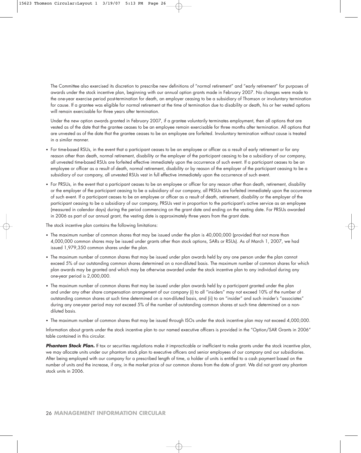The Committee also exercised its discretion to prescribe new definitions of "normal retirement" and "early retirement" for purposes of awards under the stock incentive plan, beginning with our annual option grants made in February 2007. No changes were made to the one-year exercise period post-termination for death, an employer ceasing to be a subsidiary of Thomson or involuntary termination for cause. If a grantee was eligible for normal retirement at the time of termination due to disability or death, his or her vested options will remain exercisable for three years after termination.

Under the new option awards granted in February 2007, if a grantee voluntarily terminates employment, then all options that are vested as of the date that the grantee ceases to be an employee remain exercisable for three months after termination. All options that are unvested as of the date that the grantee ceases to be an employee are forfeited. Involuntary termination without cause is treated in a similar manner.

- For time-based RSUs, in the event that a participant ceases to be an employee or officer as a result of early retirement or for any reason other than death, normal retirement, disability or the employer of the participant ceasing to be a subsidiary of our company, all unvested time-based RSUs are forfeited effective immediately upon the occurrence of such event. If a participant ceases to be an employee or officer as a result of death, normal retirement, disability or by reason of the employer of the participant ceasing to be a subsidiary of our company, all unvested RSUs vest in full effective immediately upon the occurrence of such event.
- For PRSUs, in the event that a participant ceases to be an employee or officer for any reason other than death, retirement, disability or the employer of the participant ceasing to be a subsidiary of our company, all PRSUs are forfeited immediately upon the occurrence of such event. If a participant ceases to be an employee or officer as a result of death, retirement, disability or the employer of the participant ceasing to be a subsidiary of our company, PRSUs vest in proportion to the participant's active service as an employee (measured in calendar days) during the period commencing on the grant date and ending on the vesting date. For PRSUs awarded in 2006 as part of our annual grant, the vesting date is approximately three years from the grant date.

The stock incentive plan contains the following limitations:

- The maximum number of common shares that may be issued under the plan is 40,000,000 (provided that not more than 4,000,000 common shares may be issued under grants other than stock options, SARs or RSUs). As of March 1, 2007, we had issued 1,979,350 common shares under the plan.
- The maximum number of common shares that may be issued under plan awards held by any one person under the plan cannot exceed 5% of our outstanding common shares determined on a non-diluted basis. The maximum number of common shares for which plan awards may be granted and which may be otherwise awarded under the stock incentive plan to any individual during any one-year period is 2,000,000.
- The maximum number of common shares that may be issued under plan awards held by a participant granted under the plan and under any other share compensation arrangement of our company (i) to all "insiders" may not exceed 10% of the number of outstanding common shares at such time determined on a non-diluted basis, and (ii) to an "insider" and such insider's "associates" during any one-year period may not exceed 5% of the number of outstanding common shares at such time determined on a nondiluted basis.
- The maximum number of common shares that may be issued through ISOs under the stock incentive plan may not exceed 4,000,000.

Information about grants under the stock incentive plan to our named executive officers is provided in the "Option/SAR Grants in 2006" table contained in this circular.

**Phantom Stock Plan.** If tax or securities regulations make it impracticable or inefficient to make grants under the stock incentive plan, we may allocate units under our phantom stock plan to executive officers and senior employees of our company and our subsidiaries. After being employed with our company for a prescribed length of time, a holder of units is entitled to a cash payment based on the number of units and the increase, if any, in the market price of our common shares from the date of grant. We did not grant any phantom stock units in 2006.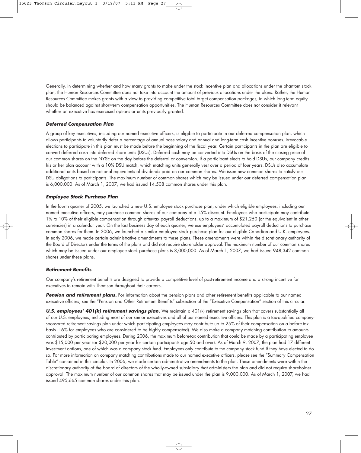Generally, in determining whether and how many grants to make under the stock incentive plan and allocations under the phantom stock plan, the Human Resources Committee does not take into account the amount of previous allocations under the plans. Rather, the Human Resources Committee makes grants with a view to providing competitive total target compensation packages, in which long-term equity should be balanced against short-term compensation opportunities. The Human Resources Committee does not consider it relevant whether an executive has exercised options or units previously granted.

### **Deferred Compensation Plan**

A group of key executives, including our named executive officers, is eligible to participate in our deferred compensation plan, which allows participants to voluntarily defer a percentage of annual base salary and annual and long-term cash incentive bonuses. Irrevocable elections to participate in this plan must be made before the beginning of the fiscal year. Certain participants in the plan are eligible to convert deferred cash into deferred share units (DSUs). Deferred cash may be converted into DSUs on the basis of the closing price of our common shares on the NYSE on the day before the deferral or conversion. If a participant elects to hold DSUs, our company credits his or her plan account with a 10% DSU match, which matching units generally vest over a period of four years. DSUs also accumulate additional units based on notional equivalents of dividends paid on our common shares. We issue new common shares to satisfy our DSU obligations to participants. The maximum number of common shares which may be issued under our deferred compensation plan is 6,000,000. As of March 1, 2007, we had issued 14,508 common shares under this plan.

### **Employee Stock Purchase Plan**

In the fourth quarter of 2005, we launched a new U.S. employee stock purchase plan, under which eligible employees, including our named executive officers, may purchase common shares of our company at a 15% discount. Employees who participate may contribute 1% to 10% of their eligible compensation through after-tax payroll deductions, up to a maximum of \$21,250 (or the equivalent in other currencies) in a calendar year. On the last business day of each quarter, we use employees' accumulated payroll deductions to purchase common shares for them. In 2006, we launched a similar employee stock purchase plan for our eligible Canadian and U.K. employees. In early 2006, we made certain administrative amendments to these plans. These amendments were within the discretionary authority of the Board of Directors under the terms of the plans and did not require shareholder approval. The maximum number of our common shares which may be issued under our employee stock purchase plans is 8,000,000. As of March 1, 2007, we had issued 948,342 common shares under these plans.

### **Retirement Benefits**

Our company's retirement benefits are designed to provide a competitive level of post-retirement income and a strong incentive for executives to remain with Thomson throughout their careers.

Pension and retirement plans. For information about the pension plans and other retirement benefits applicable to our named executive officers, see the "Pension and Other Retirement Benefits" subsection of the "Executive Compensation" section of this circular.

**U.S. employees' 401(k) retirement savings plan.** We maintain a 401(k) retirement savings plan that covers substantially all of our U.S. employees, including most of our senior executives and all of our named executive officers. This plan is a tax-qualified companysponsored retirement savings plan under which participating employees may contribute up to 25% of their compensation on a before-tax basis (16% for employees who are considered to be highly compensated). We also make a company matching contribution to amounts contributed by participating employees. During 2006, the maximum before-tax contribution that could be made by a participating employee was \$15,000 per year (or \$20,000 per year for certain participants age 50 and over). As of March 9, 2007, the plan had 17 different investment options, one of which was a company stock fund. Employees only contribute to the company stock fund if they have elected to do so. For more information on company matching contributions made to our named executive officers, please see the "Summary Compensation Table" contained in this circular. In 2006, we made certain administrative amendments to the plan. These amendments were within the discretionary authority of the board of directors of the wholly-owned subsidiary that administers the plan and did not require shareholder approval. The maximum number of our common shares that may be issued under the plan is 9,000,000. As of March 1, 2007, we had issued 495,665 common shares under this plan.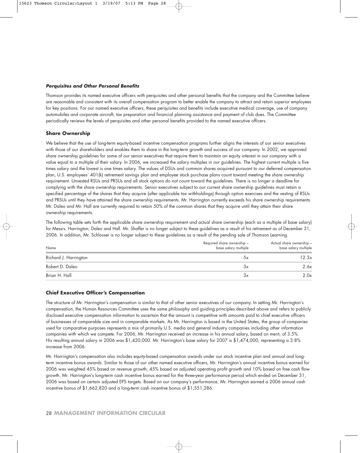### **Perquisites and Other Personal Benefits**

Thomson provides its named executive officers with perquisites and other personal benefits that the company and the Committee believe are reasonable and consistent with its overall compensation program to better enable the company to attract and retain superior employees for key positions. For our named executive officers, these perquisites and benefits include executive medical coverage, use of company automobiles and corporate aircraft, tax preparation and financial planning assistance and payment of club dues. The Committee periodically reviews the levels of perquisites and other personal benefits provided to the named executive officers.

# **Share Ownership**

We believe that the use of long-term equity-based incentive compensation programs further aligns the interests of our senior executives with those of our shareholders and enables them to share in the long-term growth and success of our company. In 2002, we approved share ownership guidelines for some of our senior executives that require them to maintain an equity interest in our company with a value equal to a multiple of their salary. In 2006, we increased the salary multiples in our guidelines. The highest current multiple is five times salary and the lowest is one times salary. The values of DSUs and common shares acquired pursuant to our deferred compensation plan, U.S. employees' 401(k) retirement savings plan and employee stock purchase plans count toward meeting the share ownership requirement. Unvested RSUs and PRSUs and all stock options do not count toward the guidelines. There is no longer a deadline for complying with the share ownership requirements. Senior executives subject to our current share ownership guidelines must retain a specified percentage of the shares that they acquire (after applicable tax withholdings) through option exercises and the vesting of RSUs and PRSUs until they have attained the share ownership requirements. Mr. Harrington currently exceeds his share ownership requirements. Mr. Daleo and Mr. Hall are currently required to retain 50% of the common shares that they acquire until they attain their share ownership requirements.

The following table sets forth the applicable share ownership requirement and actual share ownership (each as a multiple of base salary) for Messrs. Harrington, Daleo and Hall. Mr. Shaffer is no longer subject to these guidelines as a result of his retirement as of December 31, 2006. In addition, Mr. Schlosser is no longer subject to these guidelines as a result of the pending sale of Thomson Learning.

| Name                  | Required share ownership –<br>base salary multiple | Actual share ownership -<br>base salary multiple |
|-----------------------|----------------------------------------------------|--------------------------------------------------|
| Richard J. Harrington | Эx                                                 | 12.3x                                            |
| Robert D. Daleo       | Зх                                                 | 2.6x                                             |
| Brian H. Hall         | Зx                                                 | 2.0x                                             |

# **Chief Executive Officer's Compensation**

The structure of Mr. Harrington's compensation is similar to that of other senior executives of our company. In setting Mr. Harrington's compensation, the Human Resources Committee uses the same philosophy and guiding principles described above and refers to publicly disclosed executive compensation information to ascertain that the amount is competitive with amounts paid to chief executive officers of businesses of comparable size and in comparable markets. As Mr. Harrington is based in the United States, the group of companies used for comparative purposes represents a mix of primarily U.S. media and general industry companies including other information companies with which we compete. For 2006, Mr. Harrington received an increase in his annual salary, based on merit, of 3.5%. His resulting annual salary in 2006 was \$1,420,000. Mr. Harrington's base salary for 2007 is \$1,474,000, representing a 3.8% increase from 2006.

Mr. Harrington's compensation also includes equity-based compensation awards under our stock incentive plan and annual and longterm incentive bonus awards. Similar to those of our other named executive officers, Mr. Harrington's annual incentive bonus earned for 2006 was weighted 45% based on revenue growth, 45% based on adjusted operating profit growth and 10% based on free cash flow growth. Mr. Harrington's long-term cash incentive bonus earned for the three-year performance period which ended on December 31, 2006 was based on certain adjusted EPS targets. Based on our company's performance, Mr. Harrington earned a 2006 annual cash incentive bonus of \$1,662,820 and a long-term cash incentive bonus of \$1,551,286.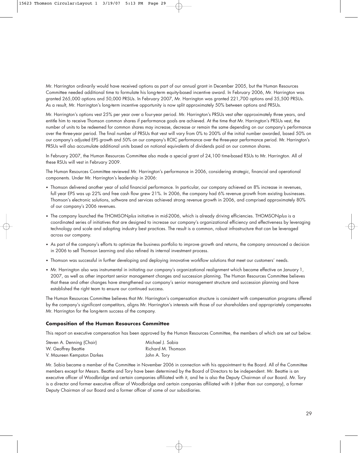Mr. Harrington ordinarily would have received options as part of our annual grant in December 2005, but the Human Resources Committee needed additional time to formulate his long-term equity-based incentive award. In February 2006, Mr. Harrington was granted 265,000 options and 50,000 PRSUs. In February 2007, Mr. Harrington was granted 221,700 options and 35,500 PRSUs. As a result, Mr. Harrington's long-term incentive opportunity is now split approximately 50% between options and PRSUs.

Mr. Harrington's options vest 25% per year over a four-year period. Mr. Harrington's PRSUs vest after approximately three years, and entitle him to receive Thomson common shares if performance goals are achieved. At the time that Mr. Harrington's PRSUs vest, the number of units to be redeemed for common shares may increase, decrease or remain the same depending on our company's performance over the three-year period. The final number of PRSUs that vest will vary from 0% to 200% of the initial number awarded, based 50% on our company's adjusted EPS growth and 50% on our company's ROIC performance over the three-year performance period. Mr. Harrington's PRSUs will also accumulate additional units based on notional equivalents of dividends paid on our common shares.

In February 2007, the Human Resources Committee also made a special grant of 24,100 time-based RSUs to Mr. Harrington. All of these RSUs will vest in February 2009.

The Human Resources Committee reviewed Mr. Harrington's performance in 2006, considering strategic, financial and operational components. Under Mr. Harrington's leadership in 2006:

- Thomson delivered another year of solid financial performance. In particular, our company achieved an 8% increase in revenues, full year EPS was up 22% and free cash flow grew 21%. In 2006, the company had 6% revenue growth from existing businesses. Thomson's electronic solutions, software and services achieved strong revenue growth in 2006, and comprised approximately 80% of our company's 2006 revenues.
- The company launched the THOMSONplus initiative in mid-2006, which is already driving efficiencies. THOMSONplus is a coordinated series of initiatives that are designed to increase our company's organizational efficiency and effectiveness by leveraging technology and scale and adopting industry best practices. The result is a common, robust infrastructure that can be leveraged across our company.
- As part of the company's efforts to optimize the business portfolio to improve growth and returns, the company announced a decision in 2006 to sell Thomson Learning and also refined its internal investment process.
- Thomson was successful in further developing and deploying innovative workflow solutions that meet our customers' needs.
- Mr. Harrington also was instrumental in initiating our company's organizational realignment which became effective on January 1, 2007, as well as other important senior management changes and succession planning. The Human Resources Committee believes that these and other changes have strengthened our company's senior management structure and succession planning and have established the right team to ensure our continued success.

The Human Resources Committee believes that Mr. Harrington's compensation structure is consistent with compensation programs offered by the company's significant competitors, aligns Mr. Harrington's interests with those of our shareholders and appropriately compensates Mr. Harrington for the long-term success of the company.

### **Composition of the Human Resources Committee**

This report on executive compensation has been approved by the Human Resources Committee, the members of which are set out below.

| Steven A. Denning (Chair)  | Michael J. Sabia   |
|----------------------------|--------------------|
| W. Geoffrey Beattie        | Richard M. Thomson |
| V. Maureen Kempston Darkes | John A. Tory       |

Mr. Sabia became a member of the Committee in November 2006 in connection with his appointment to the Board. All of the Committee members except for Messrs. Beattie and Tory have been determined by the Board of Directors to be independent. Mr. Beattie is an executive officer of Woodbridge and certain companies affiliated with it, and he is also the Deputy Chairman of our Board. Mr. Tory is a director and former executive officer of Woodbridge and certain companies affiliated with it (other than our company), a former Deputy Chairman of our Board and a former officer of some of our subsidiaries.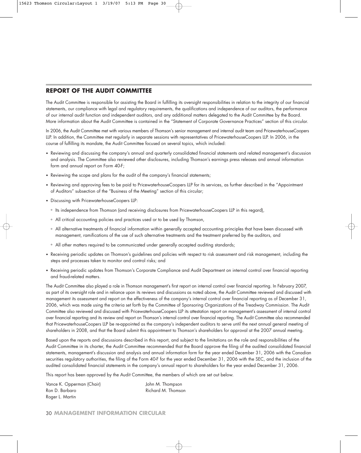# **REPORT OF THE AUDIT COMMITTEE**

The Audit Committee is responsible for assisting the Board in fulfilling its oversight responsibilities in relation to the integrity of our financial statements, our compliance with legal and regulatory requirements, the qualifications and independence of our auditors, the performance of our internal audit function and independent auditors, and any additional matters delegated to the Audit Committee by the Board. More information about the Audit Committee is contained in the "Statement of Corporate Governance Practices" section of this circular.

In 2006, the Audit Committee met with various members of Thomson's senior management and internal audit team and PricewaterhouseCoopers LLP. In addition, the Committee met regularly in separate sessions with representatives of PricewaterhouseCoopers LLP. In 2006, in the course of fulfilling its mandate, the Audit Committee focused on several topics, which included:

- Reviewing and discussing the company's annual and quarterly consolidated financial statements and related management's discussion and analysis. The Committee also reviewed other disclosures, including Thomson's earnings press releases and annual information form and annual report on Form 40-F;
- Reviewing the scope and plans for the audit of the company's financial statements;
- Reviewing and approving fees to be paid to PricewaterhouseCoopers LLP for its services, as further described in the "Appointment of Auditors" subsection of the "Business of the Meeting" section of this circular;
- Discussing with PricewaterhouseCoopers LLP:
	- ° Its independence from Thomson (and receiving disclosures from PricewaterhouseCoopers LLP in this regard),
	- ° All critical accounting policies and practices used or to be used by Thomson,
	- ° All alternative treatments of financial information within generally accepted accounting principles that have been discussed with management, ramifications of the use of such alternative treatments and the treatment preferred by the auditors, and
	- ° All other matters required to be communicated under generally accepted auditing standards;
- Receiving periodic updates on Thomson's guidelines and policies with respect to risk assessment and risk management, including the steps and processes taken to monitor and control risks; and
- Receiving periodic updates from Thomson's Corporate Compliance and Audit Department on internal control over financial reporting and fraud-related matters.

The Audit Committee also played a role in Thomson management's first report on internal control over financial reporting. In February 2007, as part of its oversight role and in reliance upon its reviews and discussions as noted above, the Audit Committee reviewed and discussed with management its assessment and report on the effectiveness of the company's internal control over financial reporting as of December 31, 2006, which was made using the criteria set forth by the Committee of Sponsoring Organizations of the Treadway Commission. The Audit Committee also reviewed and discussed with PricewaterhouseCoopers LLP its attestation report on management's assessment of internal control over financial reporting and its review and report on Thomson's internal control over financial reporting. The Audit Committee also recommended that PricewaterhouseCoopers LLP be re-appointed as the company's independent auditors to serve until the next annual general meeting of shareholders in 2008, and that the Board submit this appointment to Thomson's shareholders for approval at the 2007 annual meeting.

Based upon the reports and discussions described in this report, and subject to the limitations on the role and responsibilities of the Audit Committee in its charter, the Audit Committee recommended that the Board approve the filing of the audited consolidated financial statements, management's discussion and analysis and annual information form for the year ended December 31, 2006 with the Canadian securities regulatory authorities, the filing of the Form 40-F for the year ended December 31, 2006 with the SEC, and the inclusion of the audited consolidated financial statements in the company's annual report to shareholders for the year ended December 31, 2006.

This report has been approved by the Audit Committee, the members of which are set out below.

Vance K. Opperman (Chair) Vance K. Opperman (Chair) Ron D. Barbaro **Richard M. Thomson** Roger L. Martin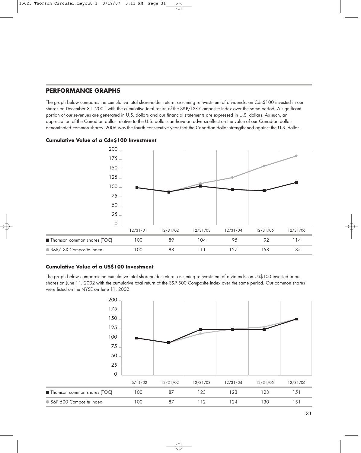# **PERFORMANCE GRAPHS**

The graph below compares the cumulative total shareholder return, assuming reinvestment of dividends, on Cdn\$100 invested in our shares on December 31, 2001 with the cumulative total return of the S&P/TSX Composite Index over the same period. A significant portion of our revenues are generated in U.S. dollars and our financial statements are expressed in U.S. dollars. As such, an appreciation of the Canadian dollar relative to the U.S. dollar can have an adverse effect on the value of our Canadian dollardenominated common shares. 2006 was the fourth consecutive year that the Canadian dollar strengthened against the U.S. dollar.

# **Cumulative Value of a Cdn\$100 Investment**



# **Cumulative Value of a US\$100 Investment**

The graph below compares the cumulative total shareholder return, assuming reinvestment of dividends, on US\$100 invested in our shares on June 11, 2002 with the cumulative total return of the S&P 500 Composite Index over the same period. Our common shares were listed on the NYSE on June 11, 2002.

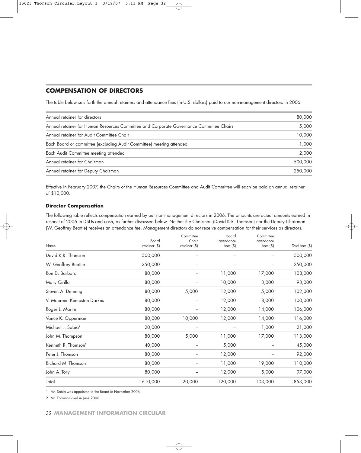# **COMPENSATION OF DIRECTORS**

The table below sets forth the annual retainers and attendance fees (in U.S. dollars) paid to our non-management directors in 2006.

| Annual retainer for directors                                                           | 80,000  |
|-----------------------------------------------------------------------------------------|---------|
| Annual retainer for Human Resources Committee and Corporate Governance Committee Chairs | 5,000   |
| Annual retainer for Audit Committee Chair                                               | 10,000  |
| Each Board or committee (excluding Audit Committee) meeting attended                    | 1,000   |
| Each Audit Committee meeting attended                                                   | 2,000   |
| Annual retainer for Chairman                                                            | 500,000 |
| Annual retainer for Deputy Chairman                                                     | 250,000 |

Effective in February 2007, the Chairs of the Human Resources Committee and Audit Committee will each be paid an annual retainer of \$10,000.

# **Director Compensation**

The following table reflects compensation earned by our non-management directors in 2006. The amounts are actual amounts earned in respect of 2006 in DSUs and cash, as further discussed below. Neither the Chairman (David K.R. Thomson) nor the Deputy Chairman (W. Geoffrey Beattie) receives an attendance fee. Management directors do not receive compensation for their services as directors.

| Name                            | Board<br>retainer (\$) | Committee<br>Chair<br>retainer (\$) | Board<br>attendance<br>fees $($ \$) | Committee<br>attendance<br>fees $($ \$) | Total fees (\$) |
|---------------------------------|------------------------|-------------------------------------|-------------------------------------|-----------------------------------------|-----------------|
| David K.R. Thomson              | 500,000                | $\overline{\phantom{m}}$            | $\overline{a}$                      |                                         | 500,000         |
| W. Geoffrey Beattie             | 250,000                | $\overline{\phantom{m}}$            | $\overline{\phantom{a}}$            |                                         | 250,000         |
| Ron D. Barbaro                  | 80,000                 |                                     | 11,000                              | 17,000                                  | 108,000         |
| Mary Cirillo                    | 80,000                 |                                     | 10,000                              | 3,000                                   | 93,000          |
| Steven A. Denning               | 80,000                 | 5,000                               | 12,000                              | 5,000                                   | 102,000         |
| V. Maureen Kempston Darkes      | 80,000                 | $\overline{\phantom{m}}$            | 12,000                              | 8,000                                   | 100,000         |
| Roger L. Martin                 | 80,000                 |                                     | 12,000                              | 14,000                                  | 106,000         |
| Vance K. Opperman               | 80,000                 | 10,000                              | 12,000                              | 14,000                                  | 116,000         |
| Michael J. Sabia <sup>1</sup>   | 20,000                 |                                     |                                     | 1,000                                   | 21,000          |
| John M. Thompson                | 80,000                 | 5,000                               | 11,000                              | 17,000                                  | 113,000         |
| Kenneth R. Thomson <sup>2</sup> | 40,000                 | $\overline{\phantom{m}}$            | 5,000                               |                                         | 45,000          |
| Peter J. Thomson                | 80,000                 |                                     | 12,000                              |                                         | 92,000          |
| Richard M. Thomson              | 80,000                 |                                     | 11,000                              | 19,000                                  | 110,000         |
| John A. Tory                    | 80,000                 |                                     | 12,000                              | 5,000                                   | 97,000          |
| Total                           | 1,610,000              | 20,000                              | 120,000                             | 103,000                                 | 1,853,000       |

1 Mr. Sabia was appointed to the Board in November 2006.

2 Mr. Thomson died in June 2006.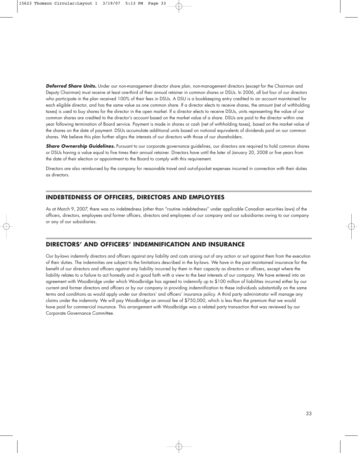**Deferred Share Units.** Under our non-management director share plan, non-management directors (except for the Chairman and Deputy Chairman) must receive at least one-third of their annual retainer in common shares or DSUs. In 2006, all but four of our directors who participate in the plan received 100% of their fees in DSUs. A DSU is a bookkeeping entry credited to an account maintained for each eligible director, and has the same value as one common share. If a director elects to receive shares, the amount (net of withholding taxes) is used to buy shares for the director in the open market. If a director elects to receive DSUs, units representing the value of our common shares are credited to the director's account based on the market value of a share. DSUs are paid to the director within one year following termination of Board service. Payment is made in shares or cash (net of withholding taxes), based on the market value of the shares on the date of payment. DSUs accumulate additional units based on notional equivalents of dividends paid on our common shares. We believe this plan further aligns the interests of our directors with those of our shareholders.

**Share Ownership Guidelines.** Pursuant to our corporate governance guidelines, our directors are required to hold common shares or DSUs having a value equal to five times their annual retainer. Directors have until the later of January 20, 2008 or five years from the date of their election or appointment to the Board to comply with this requirement.

Directors are also reimbursed by the company for reasonable travel and out-of-pocket expenses incurred in connection with their duties as directors.

# **INDEBTEDNESS OF OFFICERS, DIRECTORS AND EMPLOYEES**

As at March 9, 2007, there was no indebtedness (other than "routine indebtedness" under applicable Canadian securities laws) of the officers, directors, employees and former officers, directors and employees of our company and our subsidiaries owing to our company or any of our subsidiaries.

# **DIRECTORS' AND OFFICERS' INDEMNIFICATION AND INSURANCE**

Our by-laws indemnify directors and officers against any liability and costs arising out of any action or suit against them from the execution of their duties. The indemnities are subject to the limitations described in the by-laws. We have in the past maintained insurance for the benefit of our directors and officers against any liability incurred by them in their capacity as directors or officers, except where the liability relates to a failure to act honestly and in good faith with a view to the best interests of our company. We have entered into an agreement with Woodbridge under which Woodbridge has agreed to indemnify up to \$100 million of liabilities incurred either by our current and former directors and officers or by our company in providing indemnification to these individuals substantially on the same terms and conditions as would apply under our directors' and officers' insurance policy. A third party administrator will manage any claims under the indemnity. We will pay Woodbridge an annual fee of \$750,000, which is less than the premium that we would have paid for commercial insurance. This arrangement with Woodbridge was a related party transaction that was reviewed by our Corporate Governance Committee.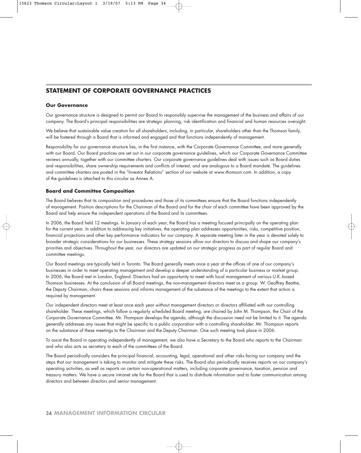# **STATEMENT OF CORPORATE GOVERNANCE PRACTICES**

### **Our Governance**

Our governance structure is designed to permit our Board to responsibly supervise the management of the business and affairs of our company. The Board's principal responsibilities are strategic planning, risk identification and financial and human resources oversight.

We believe that sustainable value creation for all shareholders, including, in particular, shareholders other than the Thomson family, will be fostered through a Board that is informed and engaged and that functions independently of management.

Responsibility for our governance structure lies, in the first instance, with the Corporate Governance Committee, and more generally with our Board. Our Board practices are set out in our corporate governance guidelines, which our Corporate Governance Committee reviews annually, together with our committee charters. Our corporate governance guidelines deal with issues such as Board duties and responsibilities, share ownership requirements and conflicts of interest, and are analogous to a Board mandate. The guidelines and committee charters are posted in the "Investor Relations" section of our website at www.thomson.com. In addition, a copy of the guidelines is attached to this circular as Annex A.

### **Board and Committee Composition**

The Board believes that its composition and procedures and those of its committees ensure that the Board functions independently of management. Position descriptions for the Chairman of the Board and for the chair of each committee have been approved by the Board and help ensure the independent operations of the Board and its committees.

In 2006, the Board held 12 meetings. In January of each year, the Board has a meeting focused principally on the operating plan for the current year. In addition to addressing key initiatives, the operating plan addresses opportunities, risks, competitive position, financial projections and other key performance indicators for our company. A separate meeting later in the year is devoted solely to broader strategic considerations for our businesses. These strategy sessions allow our directors to discuss and shape our company's priorities and objectives. Throughout the year, our directors are updated on our strategic progress as part of regular Board and committee meetings.

Our Board meetings are typically held in Toronto. The Board generally meets once a year at the offices of one of our company's businesses in order to meet operating management and develop a deeper understanding of a particular business or market group. In 2006, the Board met in London, England. Directors had an opportunity to meet with local management of various U.K.-based Thomson businesses. At the conclusion of all Board meetings, the non-management directors meet as a group. W. Geoffrey Beattie, the Deputy Chairman, chairs these sessions and informs management of the substance of the meetings to the extent that action is required by management.

Our independent directors meet at least once each year without management directors or directors affiliated with our controlling shareholder. These meetings, which follow a regularly scheduled Board meeting, are chaired by John M. Thompson, the Chair of the Corporate Governance Committee. Mr. Thompson develops the agenda, although the discussion need not be limited to it. The agenda generally addresses any issues that might be specific to a public corporation with a controlling shareholder. Mr. Thompson reports on the substance of these meetings to the Chairman and the Deputy Chairman. One such meeting took place in 2006.

To assist the Board in operating independently of management, we also have a Secretary to the Board who reports to the Chairman and who also acts as secretary to each of the committees of the Board.

The Board periodically considers the principal financial, accounting, legal, operational and other risks facing our company and the steps that our management is taking to monitor and mitigate these risks. The Board also periodically receives reports on our company's operating activities, as well as reports on certain non-operational matters, including corporate governance, taxation, pension and treasury matters. We have a secure intranet site for the Board that is used to distribute information and to foster communication among directors and between directors and senior management.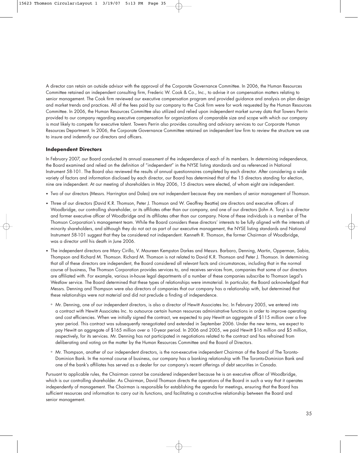A director can retain an outside advisor with the approval of the Corporate Governance Committee. In 2006, the Human Resources Committee retained an independent consulting firm, Frederic W. Cook & Co., Inc., to advise it on compensation matters relating to senior management. The Cook firm reviewed our executive compensation program and provided guidance and analysis on plan design and market trends and practices. All of the fees paid by our company to the Cook firm were for work requested by the Human Resources Committee. In 2006, the Human Resources Committee also utilized and relied upon independent market survey data that Towers Perrin provided to our company regarding executive compensation for organizations of comparable size and scope with which our company is most likely to compete for executive talent. Towers Perrin also provides consulting and advisory services to our Corporate Human Resources Department. In 2006, the Corporate Governance Committee retained an independent law firm to review the structure we use to insure and indemnify our directors and officers.

# **Independent Directors**

In February 2007, our Board conducted its annual assessment of the independence of each of its members. In determining independence, the Board examined and relied on the definition of "independent" in the NYSE listing standards and as referenced in National Instrument 58-101. The Board also reviewed the results of annual questionnaires completed by each director. After considering a wide variety of factors and information disclosed by each director, our Board has determined that of the 15 directors standing for election, nine are independent. At our meeting of shareholders in May 2006, 15 directors were elected, of whom eight are independent.

- Two of our directors (Messrs. Harrington and Daleo) are not independent because they are members of senior management of Thomson.
- Three of our directors (David K.R. Thomson, Peter J. Thomson and W. Geoffrey Beattie) are directors and executive officers of Woodbridge, our controlling shareholder, or its affiliates other than our company, and one of our directors (John A. Tory) is a director and former executive officer of Woodbridge and its affiliates other than our company. None of these individuals is a member of The Thomson Corporation's management team. While the Board considers these directors' interests to be fully aligned with the interests of minority shareholders, and although they do not act as part of our executive management, the NYSE listing standards and National Instrument 58-101 suggest that they be considered not independent. Kenneth R. Thomson, the former Chairman of Woodbridge, was a director until his death in June 2006.
- The independent directors are Mary Cirillo, V. Maureen Kempston Darkes and Messrs. Barbaro, Denning, Martin, Opperman, Sabia, Thompson and Richard M. Thomson. Richard M. Thomson is not related to David K.R. Thomson and Peter J. Thomson. In determining that all of these directors are independent, the Board considered all relevant facts and circumstances, including that in the normal course of business, The Thomson Corporation provides services to, and receives services from, companies that some of our directors are affiliated with. For example, various in-house legal departments of a number of these companies subscribe to Thomson Legal's Westlaw service. The Board determined that these types of relationships were immaterial. In particular, the Board acknowledged that Messrs. Denning and Thompson were also directors of companies that our company has a relationship with, but determined that these relationships were not material and did not preclude a finding of independence.
	- ° Mr. Denning, one of our independent directors, is also a director of Hewitt Associates Inc. In February 2005, we entered into a contract with Hewitt Associates Inc. to outsource certain human resources administrative functions in order to improve operating and cost efficiencies. When we initially signed the contract, we expected to pay Hewitt an aggregate of \$115 million over a fiveyear period. This contract was subsequently renegotiated and extended in September 2006. Under the new terms, we expect to pay Hewitt an aggregate of \$165 million over a 10-year period. In 2006 and 2005, we paid Hewitt \$16 million and \$5 million, respectively, for its services. Mr. Denning has not participated in negotiations related to the contract and has refrained from deliberating and voting on the matter by the Human Resources Committee and the Board of Directors.
	- ° Mr. Thompson, another of our independent directors, is the non-executive independent Chairman of the Board of The Toronto-Dominion Bank. In the normal course of business, our company has a banking relationship with The Toronto-Dominion Bank and one of the bank's affiliates has served as a dealer for our company's recent offerings of debt securities in Canada.

Pursuant to applicable rules, the Chairman cannot be considered independent because he is an executive officer of Woodbridge, which is our controlling shareholder. As Chairman, David Thomson directs the operations of the Board in such a way that it operates independently of management. The Chairman is responsible for establishing the agenda for meetings, ensuring that the Board has sufficient resources and information to carry out its functions, and facilitating a constructive relationship between the Board and senior management.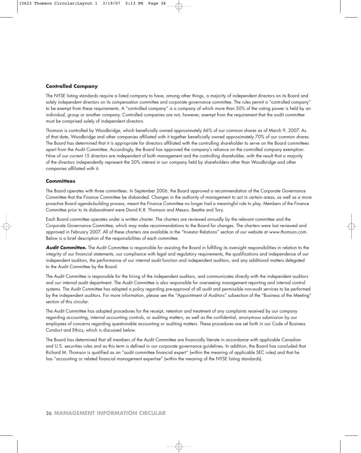# **Controlled Company**

The NYSE listing standards require a listed company to have, among other things, a majority of independent directors on its Board and solely independent directors on its compensation committee and corporate governance committee. The rules permit a "controlled company" to be exempt from these requirements. A "controlled company" is a company of which more than 50% of the voting power is held by an individual, group or another company. Controlled companies are not, however, exempt from the requirement that the audit committee must be comprised solely of independent directors.

Thomson is controlled by Woodbridge, which beneficially owned approximately 66% of our common shares as of March 9, 2007. As of that date, Woodbridge and other companies affiliated with it together beneficially owned approximately 70% of our common shares. The Board has determined that it is appropriate for directors affiliated with the controlling shareholder to serve on the Board committees apart from the Audit Committee. Accordingly, the Board has approved the company's reliance on the controlled company exemption. Nine of our current 15 directors are independent of both management and the controlling shareholder, with the result that a majority of the directors independently represent the 30% interest in our company held by shareholders other than Woodbridge and other companies affiliated with it.

# **Committees**

The Board operates with three committees. In September 2006, the Board approved a recommendation of the Corporate Governance Committee that the Finance Committee be disbanded. Changes in the authority of management to act in certain areas, as well as a more proactive Board agenda-building process, meant the Finance Committee no longer had a meaningful role to play. Members of the Finance Committee prior to its disbandment were David K.R. Thomson and Messrs. Beattie and Tory.

Each Board committee operates under a written charter. The charters are reviewed annually by the relevant committee and the Corporate Governance Committee, which may make recommendations to the Board for changes. The charters were last reviewed and approved in February 2007. All of these charters are available in the "Investor Relations" section of our website at www.thomson.com. Below is a brief description of the responsibilities of each committee.

**Audit Committee.** The Audit Committee is responsible for assisting the Board in fulfilling its oversight responsibilities in relation to the integrity of our financial statements, our compliance with legal and regulatory requirements, the qualifications and independence of our independent auditors, the performance of our internal audit function and independent auditors, and any additional matters delegated to the Audit Committee by the Board.

The Audit Committee is responsible for the hiring of the independent auditors, and communicates directly with the independent auditors and our internal audit department. The Audit Committee is also responsible for overseeing management reporting and internal control systems. The Audit Committee has adopted a policy regarding pre-approval of all audit and permissible non-audit services to be performed by the independent auditors. For more information, please see the "Appointment of Auditors" subsection of the "Business of the Meeting" section of this circular.

The Audit Committee has adopted procedures for the receipt, retention and treatment of any complaints received by our company regarding accounting, internal accounting controls, or auditing matters, as well as the confidential, anonymous submission by our employees of concerns regarding questionable accounting or auditing matters. These procedures are set forth in our Code of Business Conduct and Ethics, which is discussed below.

The Board has determined that all members of the Audit Committee are financially literate in accordance with applicable Canadian and U.S. securities rules and as this term is defined in our corporate governance guidelines. In addition, the Board has concluded that Richard M. Thomson is qualified as an "audit committee financial expert" (within the meaning of applicable SEC rules) and that he has "accounting or related financial management expertise" (within the meaning of the NYSE listing standards).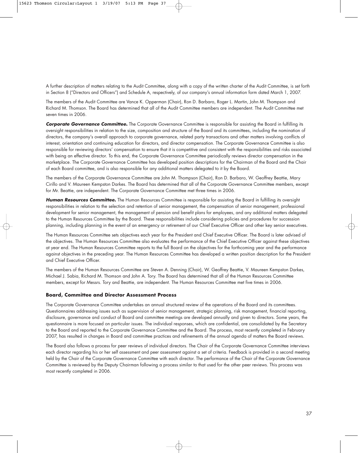A further description of matters relating to the Audit Committee, along with a copy of the written charter of the Audit Committee, is set forth in Section 8 ("Directors and Officers") and Schedule A, respectively, of our company's annual information form dated March 1, 2007.

The members of the Audit Committee are Vance K. Opperman (Chair), Ron D. Barbaro, Roger L. Martin, John M. Thompson and Richard M. Thomson. The Board has determined that all of the Audit Committee members are independent. The Audit Committee met seven times in 2006.

**Corporate Governance Committee.** The Corporate Governance Committee is responsible for assisting the Board in fulfilling its oversight responsibilities in relation to the size, composition and structure of the Board and its committees, including the nomination of directors, the company's overall approach to corporate governance, related party transactions and other matters involving conflicts of interest, orientation and continuing education for directors, and director compensation. The Corporate Governance Committee is also responsible for reviewing directors' compensation to ensure that it is competitive and consistent with the responsibilities and risks associated with being an effective director. To this end, the Corporate Governance Committee periodically reviews director compensation in the marketplace. The Corporate Governance Committee has developed position descriptions for the Chairman of the Board and the Chair of each Board committee, and is also responsible for any additional matters delegated to it by the Board.

The members of the Corporate Governance Committee are John M. Thompson (Chair), Ron D. Barbaro, W. Geoffrey Beattie, Mary Cirillo and V. Maureen Kempston Darkes. The Board has determined that all of the Corporate Governance Committee members, except for Mr. Beattie, are independent. The Corporate Governance Committee met three times in 2006.

**Human Resources Committee.** The Human Resources Committee is responsible for assisting the Board in fulfilling its oversight responsibilities in relation to the selection and retention of senior management, the compensation of senior management, professional development for senior management, the management of pension and benefit plans for employees, and any additional matters delegated to the Human Resources Committee by the Board. These responsibilities include considering policies and procedures for succession planning, including planning in the event of an emergency or retirement of our Chief Executive Officer and other key senior executives.

The Human Resources Committee sets objectives each year for the President and Chief Executive Officer. The Board is later advised of the objectives. The Human Resources Committee also evaluates the performance of the Chief Executive Officer against these objectives at year end. The Human Resources Committee reports to the full Board on the objectives for the forthcoming year and the performance against objectives in the preceding year. The Human Resources Committee has developed a written position description for the President and Chief Executive Officer.

The members of the Human Resources Committee are Steven A. Denning (Chair), W. Geoffrey Beattie, V. Maureen Kempston Darkes, Michael J. Sabia, Richard M. Thomson and John A. Tory. The Board has determined that all of the Human Resources Committee members, except for Messrs. Tory and Beattie, are independent. The Human Resources Committee met five times in 2006.

### **Board, Committee and Director Assessment Process**

The Corporate Governance Committee undertakes an annual structured review of the operations of the Board and its committees. Questionnaires addressing issues such as supervision of senior management, strategic planning, risk management, financial reporting, disclosure, governance and conduct of Board and committee meetings are developed annually and given to directors. Some years, the questionnaire is more focused on particular issues. The individual responses, which are confidential, are consolidated by the Secretary to the Board and reported to the Corporate Governance Committee and the Board. The process, most recently completed in February 2007, has resulted in changes in Board and committee practices and refinements of the annual agenda of matters the Board reviews.

The Board also follows a process for peer reviews of individual directors. The Chair of the Corporate Governance Committee interviews each director regarding his or her self assessment and peer assessment against a set of criteria. Feedback is provided in a second meeting held by the Chair of the Corporate Governance Committee with each director. The performance of the Chair of the Corporate Governance Committee is reviewed by the Deputy Chairman following a process similar to that used for the other peer reviews. This process was most recently completed in 2006.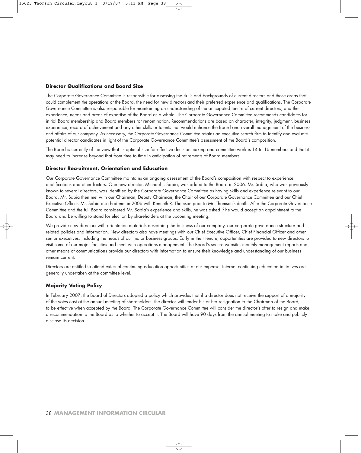### **Director Qualifications and Board Size**

The Corporate Governance Committee is responsible for assessing the skills and backgrounds of current directors and those areas that could complement the operations of the Board, the need for new directors and their preferred experience and qualifications. The Corporate Governance Committee is also responsible for maintaining an understanding of the anticipated tenure of current directors, and the experience, needs and areas of expertise of the Board as a whole. The Corporate Governance Committee recommends candidates for initial Board membership and Board members for renomination. Recommendations are based on character, integrity, judgment, business experience, record of achievement and any other skills or talents that would enhance the Board and overall management of the business and affairs of our company. As necessary, the Corporate Governance Committee retains an executive search firm to identify and evaluate potential director candidates in light of the Corporate Governance Committee's assessment of the Board's composition.

The Board is currently of the view that its optimal size for effective decision-making and committee work is 14 to 16 members and that it may need to increase beyond that from time to time in anticipation of retirements of Board members.

# **Director Recruitment, Orientation and Education**

Our Corporate Governance Committee maintains an ongoing assessment of the Board's composition with respect to experience, qualifications and other factors. One new director, Michael J. Sabia, was added to the Board in 2006. Mr. Sabia, who was previously known to several directors, was identified by the Corporate Governance Committee as having skills and experience relevant to our Board. Mr. Sabia then met with our Chairman, Deputy Chairman, the Chair of our Corporate Governance Committee and our Chief Executive Officer. Mr. Sabia also had met in 2006 with Kenneth R. Thomson prior to Mr. Thomson's death. After the Corporate Governance Committee and the full Board considered Mr. Sabia's experience and skills, he was asked if he would accept an appointment to the Board and be willing to stand for election by shareholders at the upcoming meeting.

We provide new directors with orientation materials describing the business of our company, our corporate governance structure and related policies and information. New directors also have meetings with our Chief Executive Officer, Chief Financial Officer and other senior executives, including the heads of our major business groups. Early in their tenure, opportunities are provided to new directors to visit some of our major facilities and meet with operations management. The Board's secure website, monthly management reports and other means of communications provide our directors with information to ensure their knowledge and understanding of our business remain current.

Directors are entitled to attend external continuing education opportunities at our expense. Internal continuing education initiatives are generally undertaken at the committee level.

# **Majority Voting Policy**

In February 2007, the Board of Directors adopted a policy which provides that if a director does not receive the support of a majority of the votes cast at the annual meeting of shareholders, the director will tender his or her resignation to the Chairman of the Board, to be effective when accepted by the Board. The Corporate Governance Committee will consider the director's offer to resign and make a recommendation to the Board as to whether to accept it. The Board will have 90 days from the annual meeting to make and publicly disclose its decision.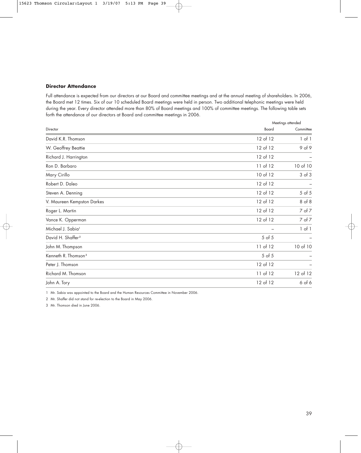# **Director Attendance**

Full attendance is expected from our directors at our Board and committee meetings and at the annual meeting of shareholders. In 2006, the Board met 12 times. Six of our 10 scheduled Board meetings were held in person. Two additional telephonic meetings were held during the year. Every director attended more than 80% of Board meetings and 100% of committee meetings. The following table sets forth the attendance of our directors at Board and committee meetings in 2006.

|                                 |            | Meetings attended |  |  |
|---------------------------------|------------|-------------------|--|--|
| Director                        | Board      | Committee         |  |  |
| David K.R. Thomson              | 12 of 12   | $1$ of $1$        |  |  |
| W. Geoffrey Beattie             | 12 of 12   | 9 of 9            |  |  |
| Richard J. Harrington           | 12 of 12   |                   |  |  |
| Ron D. Barbaro                  | 11 of 12   | 10 of 10          |  |  |
| Mary Cirillo                    | 10 of 12   | $3$ of $3$        |  |  |
| Robert D. Daleo                 | 12 of 12   |                   |  |  |
| Steven A. Denning               | 12 of 12   | $5$ of $5$        |  |  |
| V. Maureen Kempston Darkes      | 12 of 12   | 8 of 8            |  |  |
| Roger L. Martin                 | 12 of 12   | 7 of 7            |  |  |
| Vance K. Opperman               | 12 of 12   | 7 of 7            |  |  |
| Michael J. Sabia <sup>1</sup>   |            | 1 of 1            |  |  |
| David H. Shaffer <sup>2</sup>   | $5$ of $5$ |                   |  |  |
| John M. Thompson                | 11 of 12   | 10 of 10          |  |  |
| Kenneth R. Thomson <sup>3</sup> | $5$ of $5$ |                   |  |  |
| Peter J. Thomson                | 12 of 12   |                   |  |  |
| Richard M. Thomson              | 11 of 12   | 12 of 12          |  |  |
| John A. Tory                    | 12 of 12   | $6$ of $6$        |  |  |

1 Mr. Sabia was appointed to the Board and the Human Resources Committee in November 2006.

2 Mr. Shaffer did not stand for re-election to the Board in May 2006.

3 Mr. Thomson died in June 2006.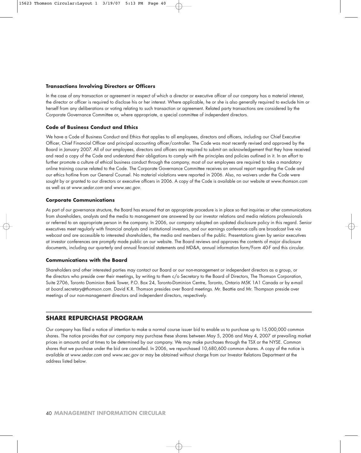### **Transactions Involving Directors or Officers**

In the case of any transaction or agreement in respect of which a director or executive officer of our company has a material interest, the director or officer is required to disclose his or her interest. Where applicable, he or she is also generally required to exclude him or herself from any deliberations or voting relating to such transaction or agreement. Related party transactions are considered by the Corporate Governance Committee or, where appropriate, a special committee of independent directors.

### **Code of Business Conduct and Ethics**

We have a Code of Business Conduct and Ethics that applies to all employees, directors and officers, including our Chief Executive Officer, Chief Financial Officer and principal accounting officer/controller. The Code was most recently revised and approved by the Board in January 2007. All of our employees, directors and officers are required to submit an acknowledgement that they have received and read a copy of the Code and understand their obligations to comply with the principles and policies outlined in it. In an effort to further promote a culture of ethical business conduct through the company, most of our employees are required to take a mandatory online training course related to the Code. The Corporate Governance Committee receives an annual report regarding the Code and our ethics hotline from our General Counsel. No material violations were reported in 2006. Also, no waivers under the Code were sought by or granted to our directors or executive officers in 2006. A copy of the Code is available on our website at www.thomson.com as well as at www.sedar.com and www.sec.gov.

#### **Corporate Communications**

As part of our governance structure, the Board has ensured that an appropriate procedure is in place so that inquiries or other communications from shareholders, analysts and the media to management are answered by our investor relations and media relations professionals or referred to an appropriate person in the company. In 2006, our company adopted an updated disclosure policy in this regard. Senior executives meet regularly with financial analysts and institutional investors, and our earnings conference calls are broadcast live via webcast and are accessible to interested shareholders, the media and members of the public. Presentations given by senior executives at investor conferences are promptly made public on our website. The Board reviews and approves the contents of major disclosure documents, including our quarterly and annual financial statements and MD&A, annual information form/Form 40-F and this circular.

### **Communications with the Board**

Shareholders and other interested parties may contact our Board or our non-management or independent directors as a group, or the directors who preside over their meetings, by writing to them c/o Secretary to the Board of Directors, The Thomson Corporation, Suite 2706, Toronto Dominion Bank Tower, P.O. Box 24, Toronto-Dominion Centre, Toronto, Ontario M5K 1A1 Canada or by e-mail at board.secretary@thomson.com. David K.R. Thomson presides over Board meetings. Mr. Beattie and Mr. Thompson preside over meetings of our non-management directors and independent directors, respectively.

# **SHARE REPURCHASE PROGRAM**

Our company has filed a notice of intention to make a normal course issuer bid to enable us to purchase up to 15,000,000 common shares. The notice provides that our company may purchase these shares between May 5, 2006 and May 4, 2007 at prevailing market prices in amounts and at times to be determined by our company. We may make purchases through the TSX or the NYSE. Common shares that we purchase under the bid are cancelled. In 2006, we repurchased 10,680,600 common shares. A copy of the notice is available at www.sedar.com and www.sec.gov or may be obtained without charge from our Investor Relations Department at the address listed below.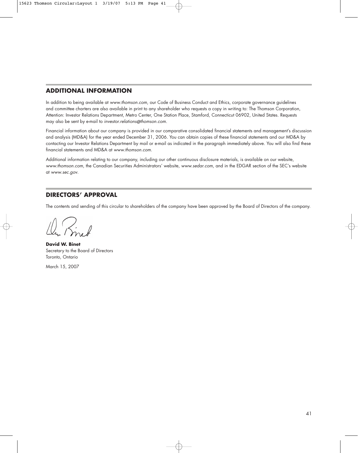# **ADDITIONAL INFORMATION**

In addition to being available at www.thomson.com, our Code of Business Conduct and Ethics, corporate governance guidelines and committee charters are also available in print to any shareholder who requests a copy in writing to: The Thomson Corporation, Attention: Investor Relations Department, Metro Center, One Station Place, Stamford, Connecticut 06902, United States. Requests may also be sent by e-mail to investor.relations@thomson.com.

Financial information about our company is provided in our comparative consolidated financial statements and management's discussion and analysis (MD&A) for the year ended December 31, 2006. You can obtain copies of these financial statements and our MD&A by contacting our Investor Relations Department by mail or e-mail as indicated in the paragraph immediately above. You will also find these financial statements and MD&A at www.thomson.com.

Additional information relating to our company, including our other continuous disclosure materials, is available on our website, www.thomson.com, the Canadian Securities Administrators' website, www.sedar.com, and in the EDGAR section of the SEC's website at www.sec.gov.

# **DIRECTORS' APPROVAL**

The contents and sending of this circular to shareholders of the company have been approved by the Board of Directors of the company.

**David W. Binet** Secretary to the Board of Directors Toronto, Ontario

March 15, 2007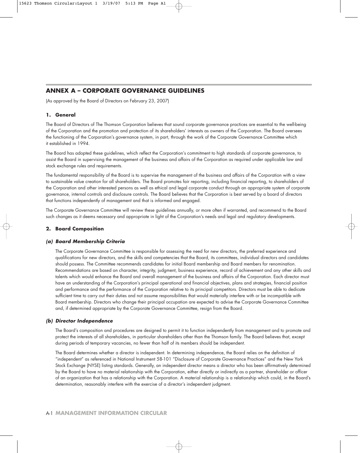# **ANNEX A – CORPORATE GOVERNANCE GUIDELINES**

(As approved by the Board of Directors on February 23, 2007)

### **1. General**

The Board of Directors of The Thomson Corporation believes that sound corporate governance practices are essential to the well-being of the Corporation and the promotion and protection of its shareholders' interests as owners of the Corporation. The Board oversees the functioning of the Corporation's governance system, in part, through the work of the Corporate Governance Committee which it established in 1994.

The Board has adopted these guidelines, which reflect the Corporation's commitment to high standards of corporate governance, to assist the Board in supervising the management of the business and affairs of the Corporation as required under applicable law and stock exchange rules and requirements.

The fundamental responsibility of the Board is to supervise the management of the business and affairs of the Corporation with a view to sustainable value creation for all shareholders. The Board promotes fair reporting, including financial reporting, to shareholders of the Corporation and other interested persons as well as ethical and legal corporate conduct through an appropriate system of corporate governance, internal controls and disclosure controls. The Board believes that the Corporation is best served by a board of directors that functions independently of management and that is informed and engaged.

The Corporate Governance Committee will review these guidelines annually, or more often if warranted, and recommend to the Board such changes as it deems necessary and appropriate in light of the Corporation's needs and legal and regulatory developments.

### **2. Board Composition**

### **(a) Board Membership Criteria**

The Corporate Governance Committee is responsible for assessing the need for new directors, the preferred experience and qualifications for new directors, and the skills and competencies that the Board, its committees, individual directors and candidates should possess. The Committee recommends candidates for initial Board membership and Board members for renomination. Recommendations are based on character, integrity, judgment, business experience, record of achievement and any other skills and talents which would enhance the Board and overall management of the business and affairs of the Corporation. Each director must have an understanding of the Corporation's principal operational and financial objectives, plans and strategies, financial position and performance and the performance of the Corporation relative to its principal competitors. Directors must be able to dedicate sufficient time to carry out their duties and not assume responsibilities that would materially interfere with or be incompatible with Board membership. Directors who change their principal occupation are expected to advise the Corporate Governance Committee and, if determined appropriate by the Corporate Governance Committee, resign from the Board.

### **(b) Director Independence**

The Board's composition and procedures are designed to permit it to function independently from management and to promote and protect the interests of all shareholders, in particular shareholders other than the Thomson family. The Board believes that, except during periods of temporary vacancies, no fewer than half of its members should be independent.

The Board determines whether a director is independent. In determining independence, the Board relies on the definition of "independent" as referenced in National Instrument 58-101 "Disclosure of Corporate Governance Practices" and the New York Stock Exchange (NYSE) listing standards. Generally, an independent director means a director who has been affirmatively determined by the Board to have no material relationship with the Corporation, either directly or indirectly as a partner, shareholder or officer of an organization that has a relationship with the Corporation. A material relationship is a relationship which could, in the Board's determination, reasonably interfere with the exercise of a director's independent judgment.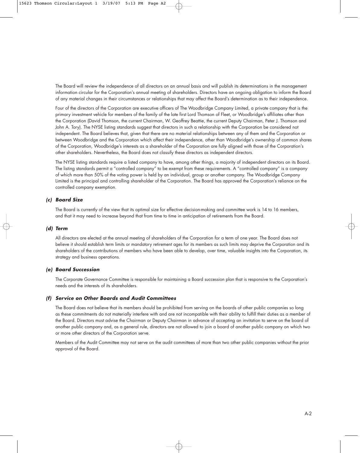The Board will review the independence of all directors on an annual basis and will publish its determinations in the management information circular for the Corporation's annual meeting of shareholders. Directors have an ongoing obligation to inform the Board of any material changes in their circumstances or relationships that may affect the Board's determination as to their independence.

Four of the directors of the Corporation are executive officers of The Woodbridge Company Limited, a private company that is the primary investment vehicle for members of the family of the late first Lord Thomson of Fleet, or Woodbridge's affiliates other than the Corporation (David Thomson, the current Chairman, W. Geoffrey Beattie, the current Deputy Chairman, Peter J. Thomson and John A. Tory). The NYSE listing standards suggest that directors in such a relationship with the Corporation be considered not independent. The Board believes that, given that there are no material relationships between any of them and the Corporation or between Woodbridge and the Corporation which affect their independence, other than Woodbridge's ownership of common shares of the Corporation, Woodbridge's interests as a shareholder of the Corporation are fully aligned with those of the Corporation's other shareholders. Nevertheless, the Board does not classify these directors as independent directors.

The NYSE listing standards require a listed company to have, among other things, a majority of independent directors on its Board. The listing standards permit a "controlled company" to be exempt from these requirements. A "controlled company" is a company of which more than 50% of the voting power is held by an individual, group or another company. The Woodbridge Company Limited is the principal and controlling shareholder of the Corporation. The Board has approved the Corporation's reliance on the controlled company exemption.

# **(c) Board Size**

The Board is currently of the view that its optimal size for effective decision-making and committee work is 14 to 16 members, and that it may need to increase beyond that from time to time in anticipation of retirements from the Board.

### **(d) Term**

All directors are elected at the annual meeting of shareholders of the Corporation for a term of one year. The Board does not believe it should establish term limits or mandatory retirement ages for its members as such limits may deprive the Corporation and its shareholders of the contributions of members who have been able to develop, over time, valuable insights into the Corporation, its strategy and business operations.

### **(e) Board Succession**

The Corporate Governance Committee is responsible for maintaining a Board succession plan that is responsive to the Corporation's needs and the interests of its shareholders.

### **(f) Service on Other Boards and Audit Committees**

The Board does not believe that its members should be prohibited from serving on the boards of other public companies so long as these commitments do not materially interfere with and are not incompatible with their ability to fulfill their duties as a member of the Board. Directors must advise the Chairman or Deputy Chairman in advance of accepting an invitation to serve on the board of another public company and, as a general rule, directors are not allowed to join a board of another public company on which two or more other directors of the Corporation serve.

Members of the Audit Committee may not serve on the audit committees of more than two other public companies without the prior approval of the Board.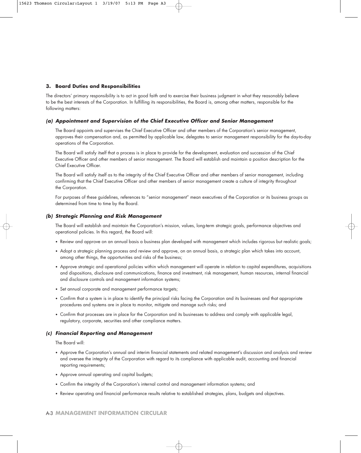# **3. Board Duties and Responsibilities**

The directors' primary responsibility is to act in good faith and to exercise their business judgment in what they reasonably believe to be the best interests of the Corporation. In fulfilling its responsibilities, the Board is, among other matters, responsible for the following matters:

### **(a) Appointment and Supervision of the Chief Executive Officer and Senior Management**

The Board appoints and supervises the Chief Executive Officer and other members of the Corporation's senior management, approves their compensation and, as permitted by applicable law, delegates to senior management responsibility for the day-to-day operations of the Corporation.

The Board will satisfy itself that a process is in place to provide for the development, evaluation and succession of the Chief Executive Officer and other members of senior management. The Board will establish and maintain a position description for the Chief Executive Officer.

The Board will satisfy itself as to the integrity of the Chief Executive Officer and other members of senior management, including confirming that the Chief Executive Officer and other members of senior management create a culture of integrity throughout the Corporation.

For purposes of these guidelines, references to "senior management" mean executives of the Corporation or its business groups as determined from time to time by the Board.

### **(b) Strategic Planning and Risk Management**

The Board will establish and maintain the Corporation's mission, values, long-term strategic goals, performance objectives and operational policies. In this regard, the Board will:

- Review and approve on an annual basis a business plan developed with management which includes rigorous but realistic goals;
- Adopt a strategic planning process and review and approve, on an annual basis, a strategic plan which takes into account, among other things, the opportunities and risks of the business;
- Approve strategic and operational policies within which management will operate in relation to capital expenditures, acquisitions and dispositions, disclosure and communications, finance and investment, risk management, human resources, internal financial and disclosure controls and management information systems;
- Set annual corporate and management performance targets;
- Confirm that a system is in place to identify the principal risks facing the Corporation and its businesses and that appropriate procedures and systems are in place to monitor, mitigate and manage such risks; and
- Confirm that processes are in place for the Corporation and its businesses to address and comply with applicable legal, regulatory, corporate, securities and other compliance matters.

### **(c) Financial Reporting and Management**

The Board will:

- Approve the Corporation's annual and interim financial statements and related management's discussion and analysis and review and oversee the integrity of the Corporation with regard to its compliance with applicable audit, accounting and financial reporting requirements;
- Approve annual operating and capital budgets;
- Confirm the integrity of the Corporation's internal control and management information systems; and
- Review operating and financial performance results relative to established strategies, plans, budgets and objectives.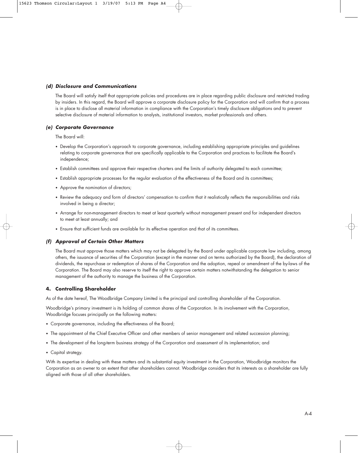# **(d) Disclosure and Communications**

The Board will satisfy itself that appropriate policies and procedures are in place regarding public disclosure and restricted trading by insiders. In this regard, the Board will approve a corporate disclosure policy for the Corporation and will confirm that a process is in place to disclose all material information in compliance with the Corporation's timely disclosure obligations and to prevent selective disclosure of material information to analysts, institutional investors, market professionals and others.

# **(e) Corporate Governance**

The Board will:

- Develop the Corporation's approach to corporate governance, including establishing appropriate principles and guidelines relating to corporate governance that are specifically applicable to the Corporation and practices to facilitate the Board's independence;
- Establish committees and approve their respective charters and the limits of authority delegated to each committee;
- Establish appropriate processes for the regular evaluation of the effectiveness of the Board and its committees;
- Approve the nomination of directors;
- Review the adequacy and form of directors' compensation to confirm that it realistically reflects the responsibilities and risks involved in being a director;
- Arrange for non-management directors to meet at least quarterly without management present and for independent directors to meet at least annually; and
- Ensure that sufficient funds are available for its effective operation and that of its committees.

# **(f) Approval of Certain Other Matters**

The Board must approve those matters which may not be delegated by the Board under applicable corporate law including, among others, the issuance of securities of the Corporation (except in the manner and on terms authorized by the Board), the declaration of dividends, the repurchase or redemption of shares of the Corporation and the adoption, repeal or amendment of the by-laws of the Corporation. The Board may also reserve to itself the right to approve certain matters notwithstanding the delegation to senior management of the authority to manage the business of the Corporation.

# **4. Controlling Shareholder**

As of the date hereof, The Woodbridge Company Limited is the principal and controlling shareholder of the Corporation.

Woodbridge's primary investment is its holding of common shares of the Corporation. In its involvement with the Corporation, Woodbridge focuses principally on the following matters:

- Corporate governance, including the effectiveness of the Board;
- The appointment of the Chief Executive Officer and other members of senior management and related succession planning;
- The development of the long-term business strategy of the Corporation and assessment of its implementation; and
- Capital strategy.

With its expertise in dealing with these matters and its substantial equity investment in the Corporation, Woodbridge monitors the Corporation as an owner to an extent that other shareholders cannot. Woodbridge considers that its interests as a shareholder are fully aligned with those of all other shareholders.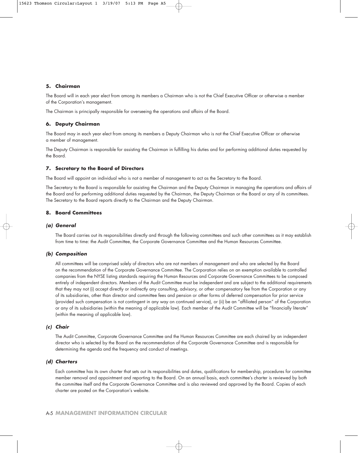# **5. Chairman**

The Board will in each year elect from among its members a Chairman who is not the Chief Executive Officer or otherwise a member of the Corporation's management.

The Chairman is principally responsible for overseeing the operations and affairs of the Board.

### **6. Deputy Chairman**

The Board may in each year elect from among its members a Deputy Chairman who is not the Chief Executive Officer or otherwise a member of management.

The Deputy Chairman is responsible for assisting the Chairman in fulfilling his duties and for performing additional duties requested by the Board.

### **7. Secretary to the Board of Directors**

The Board will appoint an individual who is not a member of management to act as the Secretary to the Board.

The Secretary to the Board is responsible for assisting the Chairman and the Deputy Chairman in managing the operations and affairs of the Board and for performing additional duties requested by the Chairman, the Deputy Chairman or the Board or any of its committees. The Secretary to the Board reports directly to the Chairman and the Deputy Chairman.

### **8. Board Committees**

# **(a) General**

The Board carries out its responsibilities directly and through the following committees and such other committees as it may establish from time to time: the Audit Committee, the Corporate Governance Committee and the Human Resources Committee.

### **(b) Composition**

All committees will be comprised solely of directors who are not members of management and who are selected by the Board on the recommendation of the Corporate Governance Committee. The Corporation relies on an exemption available to controlled companies from the NYSE listing standards requiring the Human Resources and Corporate Governance Committees to be composed entirely of independent directors. Members of the Audit Committee must be independent and are subject to the additional requirements that they may not (i) accept directly or indirectly any consulting, advisory, or other compensatory fee from the Corporation or any of its subsidiaries, other than director and committee fees and pension or other forms of deferred compensation for prior service (provided such compensation is not contingent in any way on continued service), or (ii) be an "affiliated person" of the Corporation or any of its subsidiaries (within the meaning of applicable law). Each member of the Audit Committee will be "financially literate" (within the meaning of applicable law).

### **(c) Chair**

The Audit Committee, Corporate Governance Committee and the Human Resources Committee are each chaired by an independent director who is selected by the Board on the recommendation of the Corporate Governance Committee and is responsible for determining the agenda and the frequency and conduct of meetings.

### **(d) Charters**

Each committee has its own charter that sets out its responsibilities and duties, qualifications for membership, procedures for committee member removal and appointment and reporting to the Board. On an annual basis, each committee's charter is reviewed by both the committee itself and the Corporate Governance Committee and is also reviewed and approved by the Board. Copies of each charter are posted on the Corporation's website.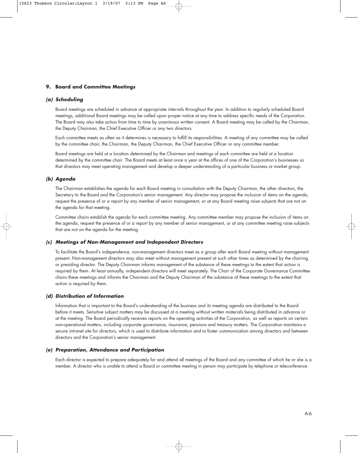# **9. Board and Committee Meetings**

### **(a) Scheduling**

Board meetings are scheduled in advance at appropriate intervals throughout the year. In addition to regularly scheduled Board meetings, additional Board meetings may be called upon proper notice at any time to address specific needs of the Corporation. The Board may also take action from time to time by unanimous written consent. A Board meeting may be called by the Chairman, the Deputy Chairman, the Chief Executive Officer or any two directors.

Each committee meets as often as it determines is necessary to fulfill its responsibilities. A meeting of any committee may be called by the committee chair, the Chairman, the Deputy Chairman, the Chief Executive Officer or any committee member.

Board meetings are held at a location determined by the Chairman and meetings of each committee are held at a location determined by the committee chair. The Board meets at least once a year at the offices of one of the Corporation's businesses so that directors may meet operating management and develop a deeper understanding of a particular business or market group.

### **(b) Agenda**

The Chairman establishes the agenda for each Board meeting in consultation with the Deputy Chairman, the other directors, the Secretary to the Board and the Corporation's senior management. Any director may propose the inclusion of items on the agenda, request the presence of or a report by any member of senior management, or at any Board meeting raise subjects that are not on the agenda for that meeting.

Committee chairs establish the agenda for each committee meeting. Any committee member may propose the inclusion of items on the agenda, request the presence of or a report by any member of senior management, or at any committee meeting raise subjects that are not on the agenda for the meeting.

### **(c) Meetings of Non-Management and Independent Directors**

To facilitate the Board's independence, non-management directors meet as a group after each Board meeting without management present. Non-management directors may also meet without management present at such other times as determined by the chairing or presiding director. The Deputy Chairman informs management of the substance of these meetings to the extent that action is required by them. At least annually, independent directors will meet separately. The Chair of the Corporate Governance Committee chairs these meetings and informs the Chairman and the Deputy Chairman of the substance of these meetings to the extent that action is required by them.

# **(d) Distribution of Information**

Information that is important to the Board's understanding of the business and its meeting agenda are distributed to the Board before it meets. Sensitive subject matters may be discussed at a meeting without written materials being distributed in advance or at the meeting. The Board periodically receives reports on the operating activities of the Corporation, as well as reports on certain non-operational matters, including corporate governance, insurance, pensions and treasury matters. The Corporation maintains a secure intranet site for directors, which is used to distribute information and to foster communication among directors and between directors and the Corporation's senior management.

### **(e) Preparation, Attendance and Participation**

Each director is expected to prepare adequately for and attend all meetings of the Board and any committee of which he or she is a member. A director who is unable to attend a Board or committee meeting in person may participate by telephone or teleconference.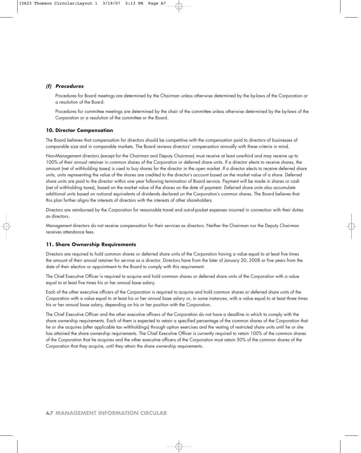# **(f) Procedures**

Procedures for Board meetings are determined by the Chairman unless otherwise determined by the by-laws of the Corporation or a resolution of the Board.

Procedures for committee meetings are determined by the chair of the committee unless otherwise determined by the by-laws of the Corporation or a resolution of the committee or the Board.

### **10. Director Compensation**

The Board believes that compensation for directors should be competitive with the compensation paid to directors of businesses of comparable size and in comparable markets. The Board reviews directors' compensation annually with these criteria in mind.

Non-Management directors (except for the Chairman and Deputy Chairman) must receive at least one-third and may receive up to 100% of their annual retainer in common shares of the Corporation or deferred share units. If a director elects to receive shares, the amount (net of withholding taxes) is used to buy shares for the director in the open market. If a director elects to receive deferred share units, units representing the value of the shares are credited to the director's account based on the market value of a share. Deferred share units are paid to the director within one year following termination of Board service. Payment will be made in shares or cash (net of withholding taxes), based on the market value of the shares on the date of payment. Deferred share units also accumulate additional units based on notional equivalents of dividends declared on the Corporation's common shares. The Board believes that this plan further aligns the interests of directors with the interests of other shareholders.

Directors are reimbursed by the Corporation for reasonable travel and out-of-pocket expenses incurred in connection with their duties as directors.

Management directors do not receive compensation for their services as directors. Neither the Chairman nor the Deputy Chairman receives attendance fees.

# **11. Share Ownership Requirements**

Directors are required to hold common shares or deferred share units of the Corporation having a value equal to at least five times the amount of their annual retainer for service as a director. Directors have from the later of January 20, 2008 or five years from the date of their election or appointment to the Board to comply with this requirement.

The Chief Executive Officer is required to acquire and hold common shares or deferred share units of the Corporation with a value equal to at least five times his or her annual base salary.

Each of the other executive officers of the Corporation is required to acquire and hold common shares or deferred share units of the Corporation with a value equal to at least his or her annual base salary or, in some instances, with a value equal to at least three times his or her annual base salary, depending on his or her position with the Corporation.

The Chief Executive Officer and the other executive officers of the Corporation do not have a deadline in which to comply with the share ownership requirements. Each of them is expected to retain a specified percentage of the common shares of the Corporation that he or she acquires (after applicable tax withholdings) through option exercises and the vesting of restricted share units until he or she has attained the share ownership requirements. The Chief Executive Officer is currently required to retain 100% of the common shares of the Corporation that he acquires and the other executive officers of the Corporation must retain 50% of the common shares of the Corporation that they acquire, until they attain the share ownership requirements.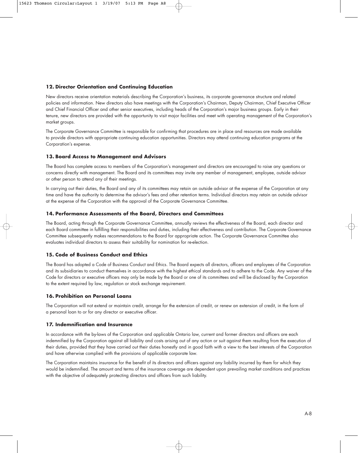# **12. Director Orientation and Continuing Education**

New directors receive orientation materials describing the Corporation's business, its corporate governance structure and related policies and information. New directors also have meetings with the Corporation's Chairman, Deputy Chairman, Chief Executive Officer and Chief Financial Officer and other senior executives, including heads of the Corporation's major business groups. Early in their tenure, new directors are provided with the opportunity to visit major facilities and meet with operating management of the Corporation's market groups.

The Corporate Governance Committee is responsible for confirming that procedures are in place and resources are made available to provide directors with appropriate continuing education opportunities. Directors may attend continuing education programs at the Corporation's expense.

# **13. Board Access to Management and Advisors**

The Board has complete access to members of the Corporation's management and directors are encouraged to raise any questions or concerns directly with management. The Board and its committees may invite any member of management, employee, outside advisor or other person to attend any of their meetings.

In carrying out their duties, the Board and any of its committees may retain an outside advisor at the expense of the Corporation at any time and have the authority to determine the advisor's fees and other retention terms. Individual directors may retain an outside advisor at the expense of the Corporation with the approval of the Corporate Governance Committee.

### **14. Performance Assessments of the Board, Directors and Committees**

The Board, acting through the Corporate Governance Committee, annually reviews the effectiveness of the Board, each director and each Board committee in fulfilling their responsibilities and duties, including their effectiveness and contribution. The Corporate Governance Committee subsequently makes recommendations to the Board for appropriate action. The Corporate Governance Committee also evaluates individual directors to assess their suitability for nomination for re-election.

# **15. Code of Business Conduct and Ethics**

The Board has adopted a Code of Business Conduct and Ethics. The Board expects all directors, officers and employees of the Corporation and its subsidiaries to conduct themselves in accordance with the highest ethical standards and to adhere to the Code. Any waiver of the Code for directors or executive officers may only be made by the Board or one of its committees and will be disclosed by the Corporation to the extent required by law, regulation or stock exchange requirement.

# **16. Prohibition on Personal Loans**

The Corporation will not extend or maintain credit, arrange for the extension of credit, or renew an extension of credit, in the form of a personal loan to or for any director or executive officer.

# **17. Indemnification and Insurance**

In accordance with the by-laws of the Corporation and applicable Ontario law, current and former directors and officers are each indemnified by the Corporation against all liability and costs arising out of any action or suit against them resulting from the execution of their duties, provided that they have carried out their duties honestly and in good faith with a view to the best interests of the Corporation and have otherwise complied with the provisions of applicable corporate law.

The Corporation maintains insurance for the benefit of its directors and officers against any liability incurred by them for which they would be indemnified. The amount and terms of the insurance coverage are dependent upon prevailing market conditions and practices with the objective of adequately protecting directors and officers from such liability.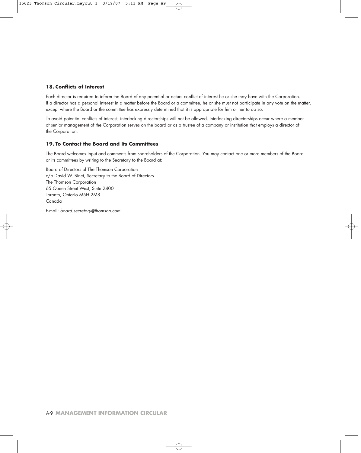# **18. Conflicts of Interest**

Each director is required to inform the Board of any potential or actual conflict of interest he or she may have with the Corporation. If a director has a personal interest in a matter before the Board or a committee, he or she must not participate in any vote on the matter, except where the Board or the committee has expressly determined that it is appropriate for him or her to do so.

To avoid potential conflicts of interest, interlocking directorships will not be allowed. Interlocking directorships occur where a member of senior management of the Corporation serves on the board or as a trustee of a company or institution that employs a director of the Corporation.

# **19. To Contact the Board and Its Committees**

The Board welcomes input and comments from shareholders of the Corporation. You may contact one or more members of the Board or its committees by writing to the Secretary to the Board at:

Board of Directors of The Thomson Corporation c/o David W. Binet, Secretary to the Board of Directors The Thomson Corporation 65 Queen Street West, Suite 2400 Toronto, Ontario M5H 2M8 Canada

E-mail: board.secretary@thomson.com